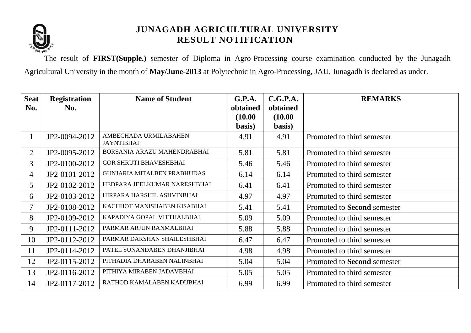

The result of **FIRST(Supple.)** semester of Diploma in Agro-Processing course examination conducted by the Junagadh Agricultural University in the month of **May/June-2013** at Polytechnic in Agro-Processing, JAU, Junagadh is declared as under.

| <b>Seat</b>    | <b>Registration</b> | <b>Name of Student</b>                     | G.P.A.   | C.G.P.A. | <b>REMARKS</b>              |
|----------------|---------------------|--------------------------------------------|----------|----------|-----------------------------|
| No.            | No.                 |                                            | obtained | obtained |                             |
|                |                     |                                            | (10.00)  | (10.00)  |                             |
|                |                     |                                            | basis)   | basis)   |                             |
| $\mathbf{1}$   | JP2-0094-2012       | AMBECHADA URMILABAHEN<br><b>JAYNTIBHAI</b> | 4.91     | 4.91     | Promoted to third semester  |
| $\overline{2}$ | JP2-0095-2012       | BORSANIA ARAZU MAHENDRABHAI                | 5.81     | 5.81     | Promoted to third semester  |
| 3              | JP2-0100-2012       | <b>GOR SHRUTI BHAVESHBHAI</b>              | 5.46     | 5.46     | Promoted to third semester  |
| $\overline{4}$ | JP2-0101-2012       | GUNJARIA MITALBEN PRABHUDAS                | 6.14     | 6.14     | Promoted to third semester  |
| 5              | JP2-0102-2012       | HEDPARA JEELKUMAR NARESHBHAI               | 6.41     | 6.41     | Promoted to third semester  |
| 6              | JP2-0103-2012       | HIRPARA HARSHIL ASHVINBHAI                 | 4.97     | 4.97     | Promoted to third semester  |
|                | JP2-0108-2012       | KACHHOT MANISHABEN KISABHAI                | 5.41     | 5.41     | Promoted to Second semester |
| 8              | JP2-0109-2012       | KAPADIYA GOPAL VITTHALBHAI                 | 5.09     | 5.09     | Promoted to third semester  |
| 9              | JP2-0111-2012       | PARMAR ARJUN RANMALBHAI                    | 5.88     | 5.88     | Promoted to third semester  |
| 10             | JP2-0112-2012       | PARMAR DARSHAN SHAILESHBHAI                | 6.47     | 6.47     | Promoted to third semester  |
| 11             | JP2-0114-2012       | PATEL SUNANDABEN DHANJIBHAI                | 4.98     | 4.98     | Promoted to third semester  |
| 12             | JP2-0115-2012       | PITHADIA DHARABEN NALINBHAI                | 5.04     | 5.04     | Promoted to Second semester |
| 13             | JP2-0116-2012       | PITHIYA MIRABEN JADAVBHAI                  | 5.05     | 5.05     | Promoted to third semester  |
| 14             | JP2-0117-2012       | RATHOD KAMALABEN KADUBHAI                  | 6.99     | 6.99     | Promoted to third semester  |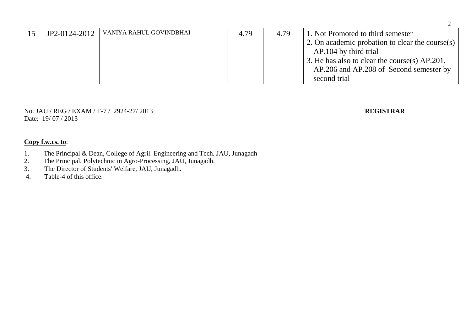| 15 | JP2-0124-2012 | VANIYA RAHUL GOVINDBHAI | 4.79 | 4.79 | 1. Not Promoted to third semester<br>2. On academic probation to clear the course(s)<br>AP.104 by third trial |
|----|---------------|-------------------------|------|------|---------------------------------------------------------------------------------------------------------------|
|    |               |                         |      |      | 3. He has also to clear the course(s) AP.201,<br>AP.206 and AP.208 of Second semester by<br>second trial      |

No. JAU / REG / EXAM / T-7 / 2924-27/ 2013 **REGISTRAR** Date: 19/07/2013

- 1. The Principal & Dean, College of Agril. Engineering and Tech. JAU, Junagadh
- 2. The Principal, Polytechnic in Agro-Processing, JAU, Junagadh.
- 3. The Director of Students' Welfare, JAU, Junagadh.
- 4. Table-4 of this office.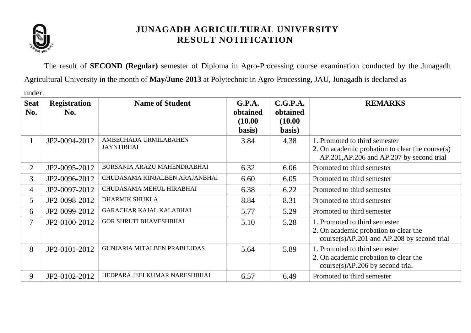

The result of **SECOND (Regular)** semester of Diploma in Agro-Processing course examination conducted by the Junagadh Agricultural University in the month of **May/June-2013** at Polytechnic in Agro-Processing, JAU, Junagadh is declared as

under.

| <b>Seat</b><br>No. | <b>Registration</b><br>No. | <b>Name of Student</b>                     | G.P.A.<br>obtained<br>(10.00)<br>basis) | C.G.P.A.<br>obtained<br>(10.00)<br>basis) | <b>REMARKS</b>                                                                                                                   |
|--------------------|----------------------------|--------------------------------------------|-----------------------------------------|-------------------------------------------|----------------------------------------------------------------------------------------------------------------------------------|
| $\mathbf{1}$       | JP2-0094-2012              | AMBECHADA URMILABAHEN<br><b>JAYNTIBHAI</b> | 3.84                                    | 4.38                                      | 1. Promoted to third semester<br>2. On academic probation to clear the course $(s)$<br>AP.201, AP.206 and AP.207 by second trial |
| $\overline{2}$     | JP2-0095-2012              | BORSANIA ARAZU MAHENDRABHAI                | 6.32                                    | 6.06                                      | Promoted to third semester                                                                                                       |
| 3                  | JP2-0096-2012              | CHUDASAMA KINJALBEN ARAJANBHAI             | 6.60                                    | 6.05                                      | Promoted to third semester                                                                                                       |
| 4                  | JP2-0097-2012              | CHUDASAMA MEHUL HIRABHAI                   | 6.38                                    | 6.22                                      | Promoted to third semester                                                                                                       |
| 5                  | JP2-0098-2012              | <b>DHARMIK SHUKLA</b>                      | 8.84                                    | 8.31                                      | Promoted to third semester                                                                                                       |
| 6                  | JP2-0099-2012              | <b>GARACHAR KAJAL KALABHAI</b>             | 5.77                                    | 5.29                                      | Promoted to third semester                                                                                                       |
| 7                  | JP2-0100-2012              | <b>GOR SHRUTI BHAVESHBHAI</b>              | 5.10                                    | 5.28                                      | 1. Promoted to third semester<br>2. On academic probation to clear the<br>$course(s)AP.201$ and $AP.208$ by second trial         |
| 8                  | JP2-0101-2012              | <b>GUNJARIA MITALBEN PRABHUDAS</b>         | 5.64                                    | 5.89                                      | 1. Promoted to third semester<br>2. On academic probation to clear the<br>course(s)AP.206 by second trial                        |
| 9                  | JP2-0102-2012              | HEDPARA JEELKUMAR NARESHBHAI               | 6.57                                    | 6.49                                      | Promoted to third semester                                                                                                       |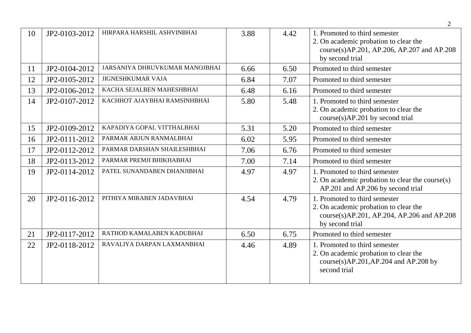| 10 | JP2-0103-2012 | HIRPARA HARSHIL ASHVINBHAI     | 3.88 | 4.42 | 1. Promoted to third semester<br>2. On academic probation to clear the<br>course(s)AP.201, AP.206, AP.207 and AP.208<br>by second trial |
|----|---------------|--------------------------------|------|------|-----------------------------------------------------------------------------------------------------------------------------------------|
| 11 | JP2-0104-2012 | JARSANIYA DHRUVKUMAR MANOJBHAI | 6.66 | 6.50 | Promoted to third semester                                                                                                              |
| 12 | JP2-0105-2012 | <b>JIGNESHKUMAR VAJA</b>       | 6.84 | 7.07 | Promoted to third semester                                                                                                              |
| 13 | JP2-0106-2012 | KACHA SEJALBEN MAHESHBHAI      | 6.48 | 6.16 | Promoted to third semester                                                                                                              |
| 14 | JP2-0107-2012 | KACHHOT AJAYBHAI RAMSINHBHAI   | 5.80 | 5.48 | 1. Promoted to third semester<br>2. On academic probation to clear the<br>course(s)AP.201 by second trial                               |
| 15 | JP2-0109-2012 | KAPADIYA GOPAL VITTHALBHAI     | 5.31 | 5.20 | Promoted to third semester                                                                                                              |
| 16 | JP2-0111-2012 | PARMAR ARJUN RANMALBHAI        | 6.02 | 5.95 | Promoted to third semester                                                                                                              |
| 17 | JP2-0112-2012 | PARMAR DARSHAN SHAILESHBHAI    | 7.06 | 6.76 | Promoted to third semester                                                                                                              |
| 18 | JP2-0113-2012 | PARMAR PREMJI BHIKHABHAI       | 7.00 | 7.14 | Promoted to third semester                                                                                                              |
| 19 | JP2-0114-2012 | PATEL SUNANDABEN DHANJIBHAI    | 4.97 | 4.97 | 1. Promoted to third semester<br>2. On academic probation to clear the course $(s)$<br>AP.201 and AP.206 by second trial                |
| 20 | JP2-0116-2012 | PITHIYA MIRABEN JADAVBHAI      | 4.54 | 4.79 | 1. Promoted to third semester<br>2. On academic probation to clear the<br>course(s)AP.201, AP.204, AP.206 and AP.208<br>by second trial |
| 21 | JP2-0117-2012 | RATHOD KAMALABEN KADUBHAI      | 6.50 | 6.75 | Promoted to third semester                                                                                                              |
| 22 | JP2-0118-2012 | RAVALIYA DARPAN LAXMANBHAI     | 4.46 | 4.89 | 1. Promoted to third semester<br>2. On academic probation to clear the<br>$course(s)AP.201, AP.204$ and $AP.208$ by<br>second trial     |

2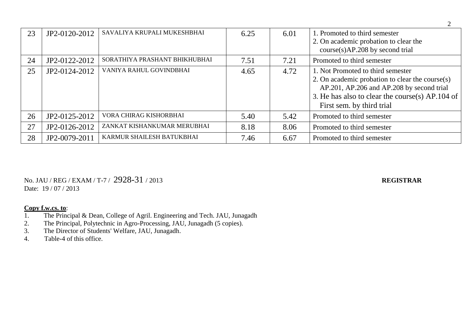| 23 | JP2-0120-2012 | SAVALIYA KRUPALI MUKESHBHAI   | 6.25 | 6.01 | 1. Promoted to third semester<br>2. On academic probation to clear the<br>course(s)AP.208 by second trial                                                                                                         |
|----|---------------|-------------------------------|------|------|-------------------------------------------------------------------------------------------------------------------------------------------------------------------------------------------------------------------|
| 24 | JP2-0122-2012 | SORATHIYA PRASHANT BHIKHUBHAI | 7.51 | 7.21 | Promoted to third semester                                                                                                                                                                                        |
| 25 | JP2-0124-2012 | VANIYA RAHUL GOVINDBHAI       | 4.65 | 4.72 | 1. Not Promoted to third semester<br>2. On academic probation to clear the course(s)<br>AP.201, AP.206 and AP.208 by second trial<br>3. He has also to clear the course(s) AP.104 of<br>First sem. by third trial |
| 26 | JP2-0125-2012 | VORA CHIRAG KISHORBHAI        | 5.40 | 5.42 | Promoted to third semester                                                                                                                                                                                        |
| 27 | JP2-0126-2012 | ZANKAT KISHANKUMAR MERUBHAI   | 8.18 | 8.06 | Promoted to third semester                                                                                                                                                                                        |
| 28 | JP2-0079-2011 | KARMUR SHAILESH BATUKBHAI     | 7.46 | 6.67 | Promoted to third semester                                                                                                                                                                                        |

No. JAU / REG / EXAM / T-7 / 2928-31 / 2013 **REGISTRAR** Date: 19 / 07 / 2013

- 1. The Principal & Dean, College of Agril. Engineering and Tech. JAU, Junagadh
- 2. The Principal, Polytechnic in Agro-Processing, JAU, Junagadh (5 copies).
- 3. The Director of Students' Welfare, JAU, Junagadh.
- 4. Table-4 of this office.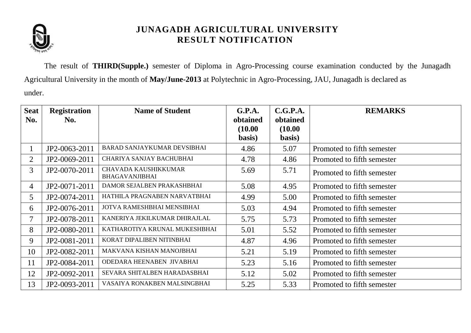

The result of **THIRD(Supple.)** semester of Diploma in Agro-Processing course examination conducted by the Junagadh Agricultural University in the month of **May/June-2013** at Polytechnic in Agro-Processing, JAU, Junagadh is declared as under.

| <b>Seat</b><br>No. | <b>Registration</b><br>No. | <b>Name of Student</b>                        | G.P.A.<br>obtained<br>(10.00)<br>basis) | C.G.P.A.<br>obtained<br>(10.00)<br>basis) | <b>REMARKS</b>             |
|--------------------|----------------------------|-----------------------------------------------|-----------------------------------------|-------------------------------------------|----------------------------|
| 1                  | JP2-0063-2011              | BARAD SANJAYKUMAR DEVSIBHAI                   | 4.86                                    | 5.07                                      | Promoted to fifth semester |
| $\overline{2}$     | JP2-0069-2011              | CHARIYA SANJAY BACHUBHAI                      | 4.78                                    | 4.86                                      | Promoted to fifth semester |
| 3                  | JP2-0070-2011              | CHAVADA KAUSHIKKUMAR<br><b>BHAGAVANJIBHAI</b> | 5.69                                    | 5.71                                      | Promoted to fifth semester |
| 4                  | JP2-0071-2011              | DAMOR SEJALBEN PRAKASHBHAI                    | 5.08                                    | 4.95                                      | Promoted to fifth semester |
| 5 <sup>1</sup>     | JP2-0074-2011              | HATHILA PRAGNABEN NARVATBHAI                  | 4.99                                    | 5.00                                      | Promoted to fifth semester |
| 6                  | JP2-0076-2011              | JOTVA RAMESHBHAI MENSIBHAI                    | 5.03                                    | 4.94                                      | Promoted to fifth semester |
| $\tau$             | JP2-0078-2011              | KANERIYA JEKILKUMAR DHIRAJLAL                 | 5.75                                    | 5.73                                      | Promoted to fifth semester |
| 8                  | JP2-0080-2011              | KATHAROTIYA KRUNAL MUKESHBHAI                 | 5.01                                    | 5.52                                      | Promoted to fifth semester |
| 9                  | JP2-0081-2011              | KORAT DIPALIBEN NITINBHAI                     | 4.87                                    | 4.96                                      | Promoted to fifth semester |
| 10                 | JP2-0082-2011              | MAKVANA KISHAN MANOJBHAI                      | 5.21                                    | 5.19                                      | Promoted to fifth semester |
| 11                 | JP2-0084-2011              | ODEDARA HEENABEN JIVABHAI                     | 5.23                                    | 5.16                                      | Promoted to fifth semester |
| 12                 | JP2-0092-2011              | SEVARA SHITALBEN HARADASBHAI                  | 5.12                                    | 5.02                                      | Promoted to fifth semester |
| 13                 | JP2-0093-2011              | VASAIYA RONAKBEN MALSINGBHAI                  | 5.25                                    | 5.33                                      | Promoted to fifth semester |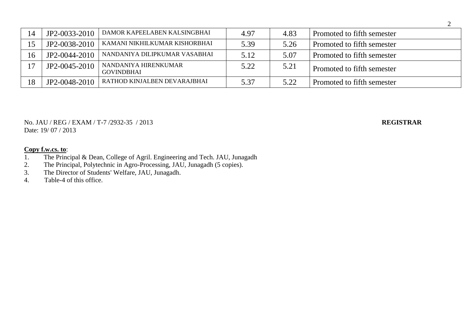| 14    | JP2-0033-2010 | DAMOR KAPEELABEN KALSINGBHAI              | 4.97 | 4.83 | Promoted to fifth semester |
|-------|---------------|-------------------------------------------|------|------|----------------------------|
| 15    | JP2-0038-2010 | KAMANI NIKHILKUMAR KISHORBHAI             | 5.39 | 5.26 | Promoted to fifth semester |
| 16    | JP2-0044-2010 | NANDANIYA DILIPKUMAR VASABHAI             | 5.12 | 5.07 | Promoted to fifth semester |
| 1 $7$ | JP2-0045-2010 | NANDANIYA HIRENKUMAR<br><b>GOVINDBHAI</b> | 5.22 | 5.21 | Promoted to fifth semester |
| 18    | JP2-0048-2010 | RATHOD KINJALBEN DEVARAJBHAI              | 5.37 | 5.22 | Promoted to fifth semester |

No. JAU / REG / EXAM / T-7 /2932-35 / 2013 **REGISTRAR** Date: 19/ 07 / 2013

- 1. The Principal & Dean, College of Agril. Engineering and Tech. JAU, Junagadh<br>2. The Principal, Polytechnic in Agro-Processing, JAU, Junagadh (5 copies).
- 2. The Principal, Polytechnic in Agro-Processing, JAU, Junagadh (5 copies).
- 3. The Director of Students' Welfare, JAU, Junagadh.
- 4. Table-4 of this office.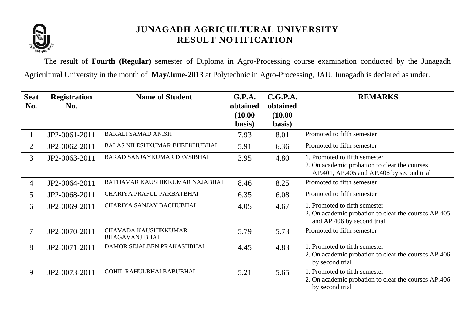

The result of **Fourth (Regular)** semester of Diploma in Agro-Processing course examination conducted by the Junagadh Agricultural University in the month of **May/June-2013** at Polytechnic in Agro-Processing, JAU, Junagadh is declared as under.

| <b>Seat</b><br>No. | <b>Registration</b><br>No. | <b>Name of Student</b>                               | G.P.A.<br>obtained | C.G.P.A.<br>obtained | <b>REMARKS</b>                                                                                                              |
|--------------------|----------------------------|------------------------------------------------------|--------------------|----------------------|-----------------------------------------------------------------------------------------------------------------------------|
|                    |                            |                                                      | (10.00)<br>basis)  | (10.00)<br>basis)    |                                                                                                                             |
|                    | JP2-0061-2011              | <b>BAKALI SAMAD ANISH</b>                            | 7.93               | 8.01                 | Promoted to fifth semester                                                                                                  |
| $\overline{2}$     | JP2-0062-2011              | <b>BALAS NILESHKUMAR BHEEKHUBHAI</b>                 | 5.91               | 6.36                 | Promoted to fifth semester                                                                                                  |
| 3                  | JP2-0063-2011              | BARAD SANJAYKUMAR DEVSIBHAI                          | 3.95               | 4.80                 | 1. Promoted to fifth semester<br>2. On academic probation to clear the courses<br>AP.401, AP.405 and AP.406 by second trial |
| $\overline{4}$     | JP2-0064-2011              | BATHAVAR KAUSHIKKUMAR NAJABHAI                       | 8.46               | 8.25                 | Promoted to fifth semester                                                                                                  |
| 5                  | JP2-0068-2011              | CHARIYA PRAFUL PARBATBHAI                            | 6.35               | 6.08                 | Promoted to fifth semester                                                                                                  |
| 6                  | JP2-0069-2011              | CHARIYA SANJAY BACHUBHAI                             | 4.05               | 4.67                 | 1. Promoted to fifth semester<br>2. On academic probation to clear the courses AP.405<br>and AP.406 by second trial         |
| 7                  | JP2-0070-2011              | <b>CHAVADA KAUSHIKKUMAR</b><br><b>BHAGAVANJIBHAI</b> | 5.79               | 5.73                 | Promoted to fifth semester                                                                                                  |
| 8                  | JP2-0071-2011              | DAMOR SEJALBEN PRAKASHBHAI                           | 4.45               | 4.83                 | 1. Promoted to fifth semester<br>2. On academic probation to clear the courses AP.406<br>by second trial                    |
| 9                  | JP2-0073-2011              | GOHIL RAHULBHAI BABUBHAI                             | 5.21               | 5.65                 | 1. Promoted to fifth semester<br>2. On academic probation to clear the courses AP.406<br>by second trial                    |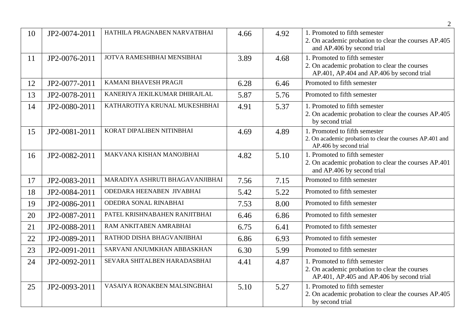|    |               |                                 |      |      | $\overline{2}$                                                                                                              |
|----|---------------|---------------------------------|------|------|-----------------------------------------------------------------------------------------------------------------------------|
| 10 | JP2-0074-2011 | HATHILA PRAGNABEN NARVATBHAI    | 4.66 | 4.92 | 1. Promoted to fifth semester<br>2. On academic probation to clear the courses AP.405<br>and AP.406 by second trial         |
| 11 | JP2-0076-2011 | JOTVA RAMESHBHAI MENSIBHAI      | 3.89 | 4.68 | 1. Promoted to fifth semester<br>2. On academic probation to clear the courses<br>AP.401, AP.404 and AP.406 by second trial |
| 12 | JP2-0077-2011 | KAMANI BHAVESH PRAGJI           | 6.28 | 6.46 | Promoted to fifth semester                                                                                                  |
| 13 | JP2-0078-2011 | KANERIYA JEKILKUMAR DHIRAJLAL   | 5.87 | 5.76 | Promoted to fifth semester                                                                                                  |
| 14 | JP2-0080-2011 | KATHAROTIYA KRUNAL MUKESHBHAI   | 4.91 | 5.37 | 1. Promoted to fifth semester<br>2. On academic probation to clear the courses AP.405<br>by second trial                    |
| 15 | JP2-0081-2011 | KORAT DIPALIBEN NITINBHAI       | 4.69 | 4.89 | 1. Promoted to fifth semester<br>2. On academic probation to clear the courses AP.401 and<br>AP.406 by second trial         |
| 16 | JP2-0082-2011 | MAKVANA KISHAN MANOJBHAI        | 4.82 | 5.10 | 1. Promoted to fifth semester<br>2. On academic probation to clear the courses AP.401<br>and AP.406 by second trial         |
| 17 | JP2-0083-2011 | MARADIYA ASHRUTI BHAGAVANJIBHAI | 7.56 | 7.15 | Promoted to fifth semester                                                                                                  |
| 18 | JP2-0084-2011 | ODEDARA HEENABEN JIVABHAI       | 5.42 | 5.22 | Promoted to fifth semester                                                                                                  |
| 19 | JP2-0086-2011 | ODEDRA SONAL RINABHAI           | 7.53 | 8.00 | Promoted to fifth semester                                                                                                  |
| 20 | JP2-0087-2011 | PATEL KRISHNABAHEN RANJITBHAI   | 6.46 | 6.86 | Promoted to fifth semester                                                                                                  |
| 21 | JP2-0088-2011 | RAM ANKITABEN AMRABHAI          | 6.75 | 6.41 | Promoted to fifth semester                                                                                                  |
| 22 | JP2-0089-2011 | RATHOD DISHA BHAGVANJIBHAI      | 6.86 | 6.93 | Promoted to fifth semester                                                                                                  |
| 23 | JP2-0091-2011 | SARVANI ANJUMKHAN ABBASKHAN     | 6.30 | 5.99 | Promoted to fifth semester                                                                                                  |
| 24 | JP2-0092-2011 | SEVARA SHITALBEN HARADASBHAI    | 4.41 | 4.87 | 1. Promoted to fifth semester<br>2. On academic probation to clear the courses<br>AP.401, AP.405 and AP.406 by second trial |
| 25 | JP2-0093-2011 | VASAIYA RONAKBEN MALSINGBHAI    | 5.10 | 5.27 | 1. Promoted to fifth semester<br>2. On academic probation to clear the courses AP.405<br>by second trial                    |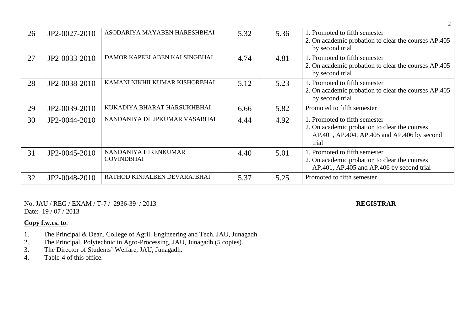| 26 | JP2-0027-2010 | ASODARIYA MAYABEN HARESHBHAI              | 5.32 | 5.36 | 1. Promoted to fifth semester<br>2. On academic probation to clear the courses AP.405<br>by second trial                               |
|----|---------------|-------------------------------------------|------|------|----------------------------------------------------------------------------------------------------------------------------------------|
| 27 | JP2-0033-2010 | DAMOR KAPEELABEN KALSINGBHAI              | 4.74 | 4.81 | 1. Promoted to fifth semester<br>2. On academic probation to clear the courses AP.405<br>by second trial                               |
| 28 | JP2-0038-2010 | KAMANI NIKHILKUMAR KISHORBHAI             | 5.12 | 5.23 | 1. Promoted to fifth semester<br>2. On academic probation to clear the courses AP.405<br>by second trial                               |
| 29 | JP2-0039-2010 | KUKADIYA BHARAT HARSUKHBHAI               | 6.66 | 5.82 | Promoted to fifth semester                                                                                                             |
| 30 | JP2-0044-2010 | NANDANIYA DILIPKUMAR VASABHAI             | 4.44 | 4.92 | 1. Promoted to fifth semester<br>2. On academic probation to clear the courses<br>AP.401, AP.404, AP.405 and AP.406 by second<br>trial |
| 31 | JP2-0045-2010 | NANDANIYA HIRENKUMAR<br><b>GOVINDBHAI</b> | 4.40 | 5.01 | 1. Promoted to fifth semester<br>2. On academic probation to clear the courses<br>AP.401, AP.405 and AP.406 by second trial            |
| 32 | JP2-0048-2010 | RATHOD KINJALBEN DEVARAJBHAI              | 5.37 | 5.25 | Promoted to fifth semester                                                                                                             |

No. JAU / REG / EXAM / T-7 / 2936-39 / 2013 **REGISTRAR** Date: 19 / 07 / 2013

2

- 1. The Principal & Dean, College of Agril. Engineering and Tech. JAU, Junagadh
- 2. The Principal, Polytechnic in Agro-Processing, JAU, Junagadh (5 copies).
- 3. The Director of Students' Welfare, JAU, Junagadh.
- 4. Table-4 of this office.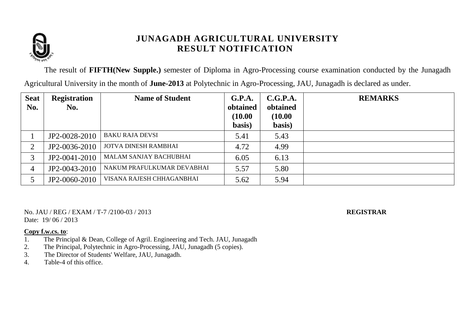

The result of **FIFTH(New Supple.)** semester of Diploma in Agro-Processing course examination conducted by the Junagadh

Agricultural University in the month of **June-2013** at Polytechnic in Agro-Processing, JAU, Junagadh is declared as under.

| <b>Seat</b><br>No. | <b>Registration</b><br>No. | <b>Name of Student</b>        | G.P.A.<br>obtained<br>(10.00) | C.G.P.A.<br>obtained<br>(10.00) | <b>REMARKS</b> |
|--------------------|----------------------------|-------------------------------|-------------------------------|---------------------------------|----------------|
|                    |                            |                               | basis)                        | basis)                          |                |
|                    | JP2-0028-2010              | <b>BAKU RAJA DEVSI</b>        | 5.41                          | 5.43                            |                |
| ↑                  | JP2-0036-2010              | <b>JOTVA DINESH RAMBHAI</b>   | 4.72                          | 4.99                            |                |
| 3                  | JP2-0041-2010              | <b>MALAM SANJAY BACHUBHAI</b> | 6.05                          | 6.13                            |                |
| 4                  | JP2-0043-2010              | NAKUM PRAFULKUMAR DEVABHAI    | 5.57                          | 5.80                            |                |
|                    | JP2-0060-2010              | VISANA RAJESH CHHAGANBHAI     | 5.62                          | 5.94                            |                |

No. JAU / REG / EXAM / T-7 /2100-03 / 2013 **REGISTRAR** Date: 19/06/2013

- 1. The Principal & Dean, College of Agril. Engineering and Tech. JAU, Junagadh
- 2. The Principal, Polytechnic in Agro-Processing, JAU, Junagadh (5 copies).
- 3. The Director of Students' Welfare, JAU, Junagadh.<br>4. Table-4 of this office.
- Table-4 of this office.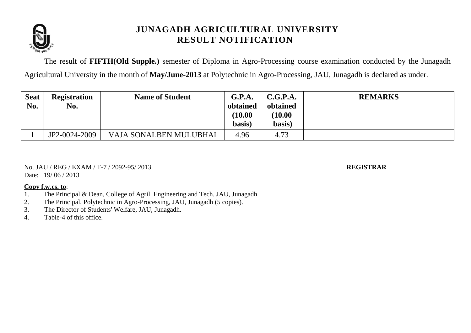

The result of **FIFTH(Old Supple.)** semester of Diploma in Agro-Processing course examination conducted by the Junagadh Agricultural University in the month of **May/June-2013** at Polytechnic in Agro-Processing, JAU, Junagadh is declared as under.

| <b>Seat</b><br>No. | <b>Registration</b><br>No. | <b>Name of Student</b> | G.P.A.<br>obtained<br>(10.00<br>basis) | C.G.P.A.<br>obtained<br>(10.00)<br>basis) | <b>REMARKS</b> |
|--------------------|----------------------------|------------------------|----------------------------------------|-------------------------------------------|----------------|
|                    | JP2-0024-2009              | VAJA SONALBEN MULUBHAI | 4.96                                   | 4.73                                      |                |

No. JAU / REG / EXAM / T-7 / 2092-95/ 2013 **REGISTRAR** Date: 19/06/2013

- 1. The Principal & Dean, College of Agril. Engineering and Tech. JAU, Junagadh
- 2. The Principal, Polytechnic in Agro-Processing, JAU, Junagadh (5 copies).
- 3. The Director of Students' Welfare, JAU, Junagadh.
- 4. Table-4 of this office.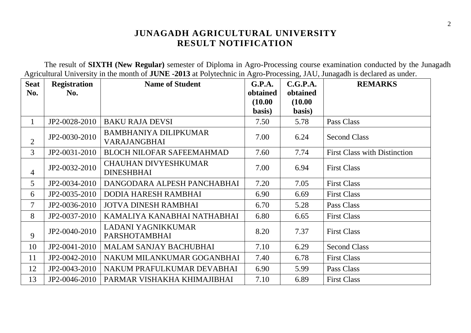The result of **SIXTH (New Regular)** semester of Diploma in Agro-Processing course examination conducted by the Junagadh Agricultural University in the month of **JUNE -2013** at Polytechnic in Agro-Processing, JAU, Junagadh is declared as under.

| <b>Seat</b>    | <b>Registration</b> | <b>Name of Student</b>                            | G.P.A.   | C.G.P.A. | <b>REMARKS</b>                      |
|----------------|---------------------|---------------------------------------------------|----------|----------|-------------------------------------|
| No.            | No.                 |                                                   | obtained | obtained |                                     |
|                |                     |                                                   | (10.00)  | (10.00)  |                                     |
|                |                     |                                                   | basis)   | basis)   |                                     |
| $\mathbf{1}$   | JP2-0028-2010       | <b>BAKU RAJA DEVSI</b>                            | 7.50     | 5.78     | Pass Class                          |
| $\overline{2}$ | JP2-0030-2010       | <b>BAMBHANIYA DILIPKUMAR</b><br>VARAJANGBHAI      | 7.00     | 6.24     | <b>Second Class</b>                 |
| $\overline{3}$ | JP2-0031-2010       | <b>BLOCH NILOFAR SAFEEMAHMAD</b>                  | 7.60     | 7.74     | <b>First Class with Distinction</b> |
| $\overline{4}$ | JP2-0032-2010       | <b>CHAUHAN DIVYESHKUMAR</b><br><b>DINESHBHAI</b>  | 7.00     | 6.94     | <b>First Class</b>                  |
| 5 <sup>5</sup> | JP2-0034-2010       | DANGODARA ALPESH PANCHABHAI                       | 7.20     | 7.05     | <b>First Class</b>                  |
| 6              | JP2-0035-2010       | DODIA HARESH RAMBHAI                              | 6.90     | 6.69     | <b>First Class</b>                  |
| $\overline{7}$ | JP2-0036-2010       | <b>JOTVA DINESH RAMBHAI</b>                       | 6.70     | 5.28     | Pass Class                          |
| 8              | JP2-0037-2010       | KAMALIYA KANABHAI NATHABHAI                       | 6.80     | 6.65     | <b>First Class</b>                  |
| 9              | JP2-0040-2010       | <b>LADANI YAGNIKKUMAR</b><br><b>PARSHOTAMBHAI</b> | 8.20     | 7.37     | <b>First Class</b>                  |
| 10             | JP2-0041-2010       | <b>MALAM SANJAY BACHUBHAI</b>                     | 7.10     | 6.29     | <b>Second Class</b>                 |
| 11             | JP2-0042-2010       | NAKUM MILANKUMAR GOGANBHAI                        | 7.40     | 6.78     | <b>First Class</b>                  |
| 12             | JP2-0043-2010       | NAKUM PRAFULKUMAR DEVABHAI                        | 6.90     | 5.99     | Pass Class                          |
| 13             | JP2-0046-2010       | PARMAR VISHAKHA KHIMAJIBHAI                       | 7.10     | 6.89     | <b>First Class</b>                  |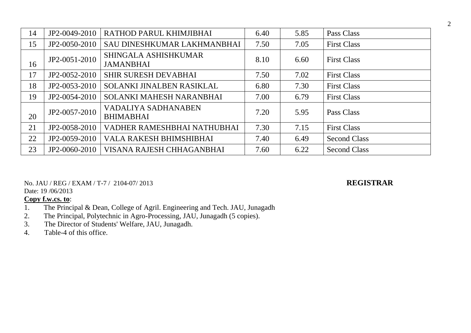| 14 | JP2-0049-2010 | RATHOD PARUL KHIMJIBHAI                         | 6.40 | 5.85 | Pass Class          |
|----|---------------|-------------------------------------------------|------|------|---------------------|
| 15 | JP2-0050-2010 | SAU DINESHKUMAR LAKHMANBHAI                     | 7.50 | 7.05 | <b>First Class</b>  |
| 16 | JP2-0051-2010 | <b>SHINGALA ASHISHKUMAR</b><br><b>JAMANBHAI</b> | 8.10 | 6.60 | <b>First Class</b>  |
| 17 | JP2-0052-2010 | <b>SHIR SURESH DEVABHAI</b>                     | 7.50 | 7.02 | <b>First Class</b>  |
| 18 | JP2-0053-2010 | SOLANKI JINALBEN RASIKLAL                       | 6.80 | 7.30 | <b>First Class</b>  |
| 19 | JP2-0054-2010 | <b>SOLANKI MAHESH NARANBHAI</b>                 | 7.00 | 6.79 | <b>First Class</b>  |
| 20 | JP2-0057-2010 | <b>VADALIYA SADHANABEN</b><br><b>BHIMABHAI</b>  | 7.20 | 5.95 | Pass Class          |
| 21 | JP2-0058-2010 | VADHER RAMESHBHAI NATHUBHAI                     | 7.30 | 7.15 | <b>First Class</b>  |
| 22 | JP2-0059-2010 | <b>VALA RAKESH BHIMSHIBHAI</b>                  | 7.40 | 6.49 | <b>Second Class</b> |
| 23 | JP2-0060-2010 | VISANA RAJESH CHHAGANBHAI                       | 7.60 | 6.22 | <b>Second Class</b> |

No. JAU / REG / EXAM / T-7 / 2104-07/ 2013 **REGISTRAR**

Date: 19 /06/2013

- 1. The Principal & Dean, College of Agril. Engineering and Tech. JAU, Junagadh
- 2. The Principal, Polytechnic in Agro-Processing, JAU, Junagadh (5 copies).
- 3. The Director of Students' Welfare, JAU, Junagadh.
- 4. Table-4 of this office.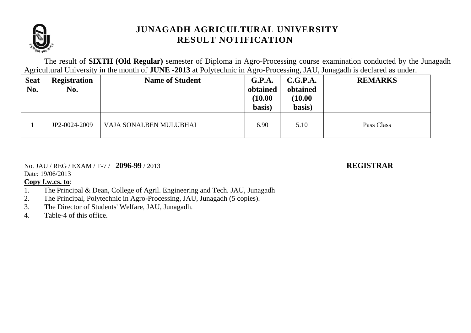

The result of **SIXTH (Old Regular)** semester of Diploma in Agro-Processing course examination conducted by the Junagadh Agricultural University in the month of **JUNE -2013** at Polytechnic in Agro-Processing, JAU, Junagadh is declared as under.

| <b>Seat</b><br>No. | <b>Registration</b><br>No. | <b>Name of Student</b> | G.P.A.<br>obtained<br>(10.00)<br>basis) | C.G.P.A.<br>obtained<br>(10.00)<br>basis) | <b>REMARKS</b> |
|--------------------|----------------------------|------------------------|-----------------------------------------|-------------------------------------------|----------------|
|                    | JP2-0024-2009              | VAJA SONALBEN MULUBHAI | 6.90                                    | 5.10                                      | Pass Class     |

## No. JAU / REG / EXAM / T-7 / **2096-99** / 2013 **REGISTRAR**

Date: 19/06/2013

- 1. The Principal & Dean, College of Agril. Engineering and Tech. JAU, Junagadh
- 2. The Principal, Polytechnic in Agro-Processing, JAU, Junagadh (5 copies).
- 3. The Director of Students' Welfare, JAU, Junagadh.
- 4. Table-4 of this office.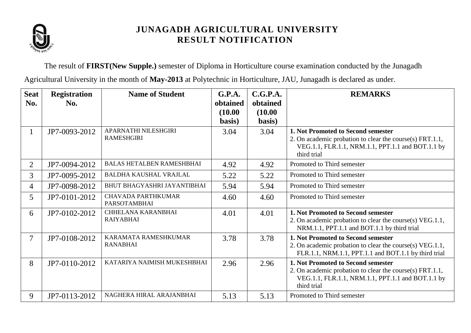

The result of **FIRST(New Supple.)** semester of Diploma in Horticulture course examination conducted by the Junagadh Agricultural University in the month of **May-2013** at Polytechnic in Horticulture, JAU, Junagadh is declared as under.

| <b>Seat</b><br>No. | <b>Registration</b><br>No. | <b>Name of Student</b>                           | G.P.A.<br>obtained<br>(10.00)<br>basis) | C.G.P.A.<br>obtained<br>(10.00)<br>basis) | <b>REMARKS</b>                                                                                                                                                     |
|--------------------|----------------------------|--------------------------------------------------|-----------------------------------------|-------------------------------------------|--------------------------------------------------------------------------------------------------------------------------------------------------------------------|
| $\mathbf{1}$       | JP7-0093-2012              | APARNATHI NILESHGIRI<br><b>RAMESHGIRI</b>        | 3.04                                    | 3.04                                      | 1. Not Promoted to Second semester<br>2. On academic probation to clear the course(s) FRT.1.1,<br>VEG.1.1, FLR.1.1, NRM.1.1, PPT.1.1 and BOT.1.1 by<br>third trial |
| $\overline{2}$     | JP7-0094-2012              | <b>BALAS HETALBEN RAMESHBHAI</b>                 | 4.92                                    | 4.92                                      | Promoted to Third semester                                                                                                                                         |
| 3                  | JP7-0095-2012              | <b>BALDHA KAUSHAL VRAJLAL</b>                    | 5.22                                    | 5.22                                      | Promoted to Third semester                                                                                                                                         |
| 4                  | JP7-0098-2012              | BHUT BHAGYASHRI JAYANTIBHAI                      | 5.94                                    | 5.94                                      | Promoted to Third semester                                                                                                                                         |
| 5 <sup>5</sup>     | JP7-0101-2012              | <b>CHAVADA PARTHKUMAR</b><br><b>PARSOTAMBHAI</b> | 4.60                                    | 4.60                                      | Promoted to Third semester                                                                                                                                         |
| 6                  | JP7-0102-2012              | <b>CHHELANA KARANBHAI</b><br><b>RAIYABHAI</b>    | 4.01                                    | 4.01                                      | 1. Not Promoted to Second semester<br>2. On academic probation to clear the course(s) VEG.1.1,<br>NRM.1.1, PPT.1.1 and BOT.1.1 by third trial                      |
| $\tau$             | JP7-0108-2012              | KARAMATA RAMESHKUMAR<br><b>RANABHAI</b>          | 3.78                                    | 3.78                                      | 1. Not Promoted to Second semester<br>2. On academic probation to clear the course(s) VEG.1.1,<br>FLR.1.1, NRM.1.1, PPT.1.1 and BOT.1.1 by third trial             |
| 8                  | JP7-0110-2012              | KATARIYA NAIMISH MUKESHBHAI                      | 2.96                                    | 2.96                                      | 1. Not Promoted to Second semester<br>2. On academic probation to clear the course(s) FRT.1.1,<br>VEG.1.1, FLR.1.1, NRM.1.1, PPT.1.1 and BOT.1.1 by<br>third trial |
| 9                  | JP7-0113-2012              | NAGHERA HIRAL ARAJANBHAI                         | 5.13                                    | 5.13                                      | Promoted to Third semester                                                                                                                                         |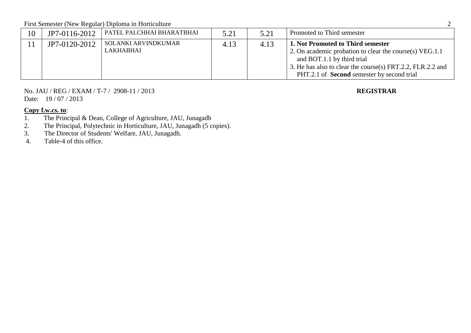First Semester (New Regular) Diploma in Horticulture 2

| 10 | JP7-0116-2012 | PATEL PALCHHAI BHARATBHAI        | 5.21 | 5.21 | Promoted to Third semester                                                                                                                                                                                                                    |
|----|---------------|----------------------------------|------|------|-----------------------------------------------------------------------------------------------------------------------------------------------------------------------------------------------------------------------------------------------|
|    | JP7-0120-2012 | SOLANKI ARVINDKUMAR<br>LAKHABHAI | 4.13 | 4.13 | 1. Not Promoted to Third semester<br>2. On academic probation to clear the course(s) VEG.1.1<br>and BOT.1.1 by third trial<br>3. He has also to clear the course(s) FRT.2.2, FLR.2.2 and<br>PHT.2.1 of <b>Second</b> semester by second trial |

No. JAU / REG / EXAM / T-7 / 2908-11 / 2013 **REGISTRAR** Date: 19 / 07 / 2013

# **Copy f.w.cs. to:**<br>1. The Princ

- 1. The Principal & Dean, College of Agriculture, JAU, Junagadh
- 2. The Principal, Polytechnic in Horticulture, JAU, Junagadh (5 copies).
- 3. The Director of Students' Welfare, JAU, Junagadh.<br>4. Table-4 of this office.
- Table-4 of this office.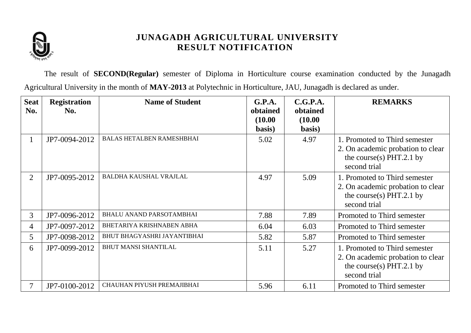

The result of **SECOND(Regular)** semester of Diploma in Horticulture course examination conducted by the Junagadh Agricultural University in the month of **MAY-2013** at Polytechnic in Horticulture, JAU, Junagadh is declared as under.

| <b>Seat</b><br>No. | <b>Registration</b><br>No. | <b>Name of Student</b>           | G.P.A.<br>obtained | C.G.P.A.<br>obtained | <b>REMARKS</b>                                                                                                   |
|--------------------|----------------------------|----------------------------------|--------------------|----------------------|------------------------------------------------------------------------------------------------------------------|
|                    |                            |                                  | (10.00)<br>basis)  | (10.00)<br>basis)    |                                                                                                                  |
| $\mathbf{1}$       | JP7-0094-2012              | <b>BALAS HETALBEN RAMESHBHAI</b> | 5.02               | 4.97                 | 1. Promoted to Third semester<br>2. On academic probation to clear<br>the course(s) PHT.2.1 by<br>second trial   |
| $\overline{2}$     | JP7-0095-2012              | <b>BALDHA KAUSHAL VRAJLAL</b>    | 4.97               | 5.09                 | 1. Promoted to Third semester<br>2. On academic probation to clear<br>the course(s) PHT.2.1 by<br>second trial   |
| 3 <sup>1</sup>     | JP7-0096-2012              | <b>BHALU ANAND PARSOTAMBHAI</b>  | 7.88               | 7.89                 | Promoted to Third semester                                                                                       |
| 4                  | JP7-0097-2012              | BHETARIYA KRISHNABEN ABHA        | 6.04               | 6.03                 | Promoted to Third semester                                                                                       |
| $5^{\circ}$        | JP7-0098-2012              | BHUT BHAGYASHRI JAYANTIBHAI      | 5.82               | 5.87                 | Promoted to Third semester                                                                                       |
| 6                  | JP7-0099-2012              | <b>BHUT MANSI SHANTILAL</b>      | 5.11               | 5.27                 | 1. Promoted to Third semester<br>2. On academic probation to clear<br>the course(s) $PHT.2.1$ by<br>second trial |
|                    | JP7-0100-2012              | CHAUHAN PIYUSH PREMAJIBHAI       | 5.96               | 6.11                 | Promoted to Third semester                                                                                       |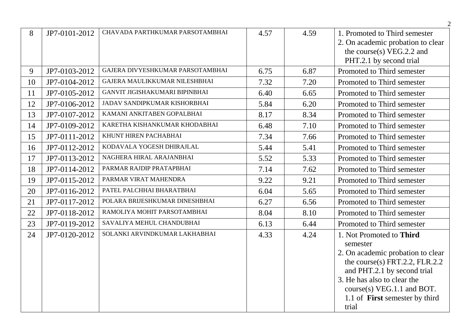|    |               |                                  |      |      | $\overline{2}$                                                                                                                                                                                                                                     |
|----|---------------|----------------------------------|------|------|----------------------------------------------------------------------------------------------------------------------------------------------------------------------------------------------------------------------------------------------------|
| 8  | JP7-0101-2012 | CHAVADA PARTHKUMAR PARSOTAMBHAI  | 4.57 | 4.59 | 1. Promoted to Third semester<br>2. On academic probation to clear<br>the course(s) $VEG.2.2$ and<br>PHT.2.1 by second trial                                                                                                                       |
| 9  | JP7-0103-2012 | GAJERA DIVYESHKUMAR PARSOTAMBHAI | 6.75 | 6.87 | Promoted to Third semester                                                                                                                                                                                                                         |
| 10 | JP7-0104-2012 | GAJERA MAULIKKUMAR NILESHBHAI    | 7.32 | 7.20 | Promoted to Third semester                                                                                                                                                                                                                         |
| 11 | JP7-0105-2012 | GANVIT JIGISHAKUMARI BIPINBHAI   | 6.40 | 6.65 | Promoted to Third semester                                                                                                                                                                                                                         |
| 12 | JP7-0106-2012 | JADAV SANDIPKUMAR KISHORBHAI     | 5.84 | 6.20 | Promoted to Third semester                                                                                                                                                                                                                         |
| 13 | JP7-0107-2012 | KAMANI ANKITABEN GOPALBHAI       | 8.17 | 8.34 | Promoted to Third semester                                                                                                                                                                                                                         |
| 14 | JP7-0109-2012 | KARETHA KISHANKUMAR KHODABHAI    | 6.48 | 7.10 | Promoted to Third semester                                                                                                                                                                                                                         |
| 15 | JP7-0111-2012 | KHUNT HIREN PACHABHAI            | 7.34 | 7.66 | Promoted to Third semester                                                                                                                                                                                                                         |
| 16 | JP7-0112-2012 | KODAVALA YOGESH DHIRAJLAL        | 5.44 | 5.41 | Promoted to Third semester                                                                                                                                                                                                                         |
| 17 | JP7-0113-2012 | NAGHERA HIRAL ARAJANBHAI         | 5.52 | 5.33 | Promoted to Third semester                                                                                                                                                                                                                         |
| 18 | JP7-0114-2012 | PARMAR RAJDIP PRATAPBHAI         | 7.14 | 7.62 | Promoted to Third semester                                                                                                                                                                                                                         |
| 19 | JP7-0115-2012 | PARMAR VIRAT MAHENDRA            | 9.22 | 9.21 | Promoted to Third semester                                                                                                                                                                                                                         |
| 20 | JP7-0116-2012 | PATEL PALCHHAI BHARATBHAI        | 6.04 | 5.65 | Promoted to Third semester                                                                                                                                                                                                                         |
| 21 | JP7-0117-2012 | POLARA BRIJESHKUMAR DINESHBHAI   | 6.27 | 6.56 | Promoted to Third semester                                                                                                                                                                                                                         |
| 22 | JP7-0118-2012 | RAMOLIYA MOHIT PARSOTAMBHAI      | 8.04 | 8.10 | Promoted to Third semester                                                                                                                                                                                                                         |
| 23 | JP7-0119-2012 | SAVALIYA MEHUL CHANDUBHAI        | 6.13 | 6.44 | Promoted to Third semester                                                                                                                                                                                                                         |
| 24 | JP7-0120-2012 | SOLANKI ARVINDKUMAR LAKHABHAI    | 4.33 | 4.24 | 1. Not Promoted to Third<br>semester<br>2. On academic probation to clear<br>the course(s) FRT.2.2, FLR.2.2<br>and PHT.2.1 by second trial<br>3. He has also to clear the<br>$course(s) VEG.1.1$ and BOT.<br>1.1 of <b>First</b> semester by third |
|    |               |                                  |      |      | trial                                                                                                                                                                                                                                              |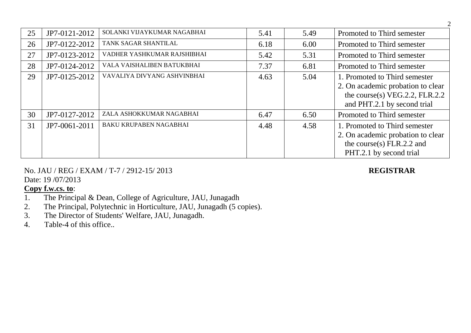| 25 | JP7-0121-2012 | SOLANKI VIJAYKUMAR NAGABHAI   | 5.41 | 5.49 | Promoted to Third semester                                                                                                          |
|----|---------------|-------------------------------|------|------|-------------------------------------------------------------------------------------------------------------------------------------|
| 26 | JP7-0122-2012 | TANK SAGAR SHANTILAL          | 6.18 | 6.00 | Promoted to Third semester                                                                                                          |
| 27 | JP7-0123-2012 | VADHER YASHKUMAR RAJSHIBHAI   | 5.42 | 5.31 | Promoted to Third semester                                                                                                          |
| 28 | JP7-0124-2012 | VALA VAISHALIBEN BATUKBHAI    | 7.37 | 6.81 | Promoted to Third semester                                                                                                          |
| 29 | JP7-0125-2012 | VAVALIYA DIVYANG ASHVINBHAI   | 4.63 | 5.04 | 1. Promoted to Third semester<br>2. On academic probation to clear<br>the course(s) VEG.2.2, FLR.2.2<br>and PHT.2.1 by second trial |
| 30 | JP7-0127-2012 | ZALA ASHOKKUMAR NAGABHAI      | 6.47 | 6.50 | Promoted to Third semester                                                                                                          |
| 31 | JP7-0061-2011 | <b>BAKU KRUPABEN NAGABHAI</b> | 4.48 | 4.58 | 1. Promoted to Third semester<br>2. On academic probation to clear<br>the course(s) $FLR.2.2$ and<br>PHT.2.1 by second trial        |

# No. JAU / REG / EXAM / T-7 / 2912-15/ 2013 **REGISTRAR**

Date: 19 /07/2013

- 1. The Principal & Dean, College of Agriculture, JAU, Junagadh
- 2. The Principal, Polytechnic in Horticulture, JAU, Junagadh (5 copies).
- 3. The Director of Students' Welfare, JAU, Junagadh.
- 4. Table-4 of this office..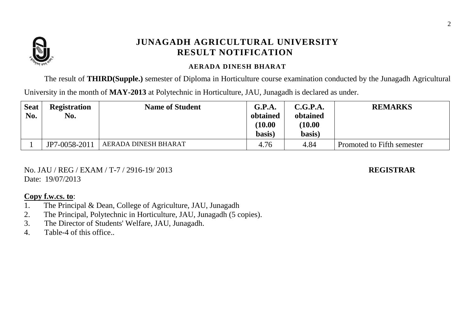

### **AERADA DINESH BHARAT**

The result of **THIRD(Supple.)** semester of Diploma in Horticulture course examination conducted by the Junagadh Agricultural

University in the month of **MAY-2013** at Polytechnic in Horticulture, JAU, Junagadh is declared as under.

| <b>Seat</b><br>No. | <b>Registration</b><br>No. | <b>Name of Student</b> | G.P.A.<br>obtained<br>(10.00)<br>basis) | C.G.P.A.<br>obtained<br>(10.00)<br>basis) | <b>REMARKS</b>             |
|--------------------|----------------------------|------------------------|-----------------------------------------|-------------------------------------------|----------------------------|
|                    | JP7-0058-2011              | AERADA DINESH BHARAT   | 4.76                                    | 4.84                                      | Promoted to Fifth semester |

No. JAU / REG / EXAM / T-7 / 2916-19/ 2013 **REGISTRAR** Date: 19/07/2013

- 1. The Principal & Dean, College of Agriculture, JAU, Junagadh
- 2. The Principal, Polytechnic in Horticulture, JAU, Junagadh (5 copies).
- 3. The Director of Students' Welfare, JAU, Junagadh.
- 4. Table-4 of this office..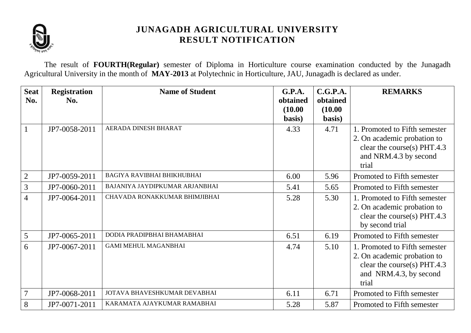

The result of **FOURTH(Regular)** semester of Diploma in Horticulture course examination conducted by the Junagadh Agricultural University in the month of **MAY-2013** at Polytechnic in Horticulture, JAU, Junagadh is declared as under.

| <b>Seat</b><br>No. | <b>Registration</b><br>No. | <b>Name of Student</b>            | G.P.A.<br>obtained<br>(10.00)<br>basis) | C.G.P.A.<br>obtained<br>(10.00)<br>basis) | <b>REMARKS</b>                                                                                                                 |
|--------------------|----------------------------|-----------------------------------|-----------------------------------------|-------------------------------------------|--------------------------------------------------------------------------------------------------------------------------------|
| $\mathbf{1}$       | JP7-0058-2011              | AERADA DINESH BHARAT              | 4.33                                    | 4.71                                      | 1. Promoted to Fifth semester<br>2. On academic probation to<br>clear the course(s) PHT.4.3<br>and NRM.4.3 by second<br>trial  |
| $\overline{2}$     | JP7-0059-2011              | <b>BAGIYA RAVIBHAI BHIKHUBHAI</b> | 6.00                                    | 5.96                                      | Promoted to Fifth semester                                                                                                     |
| 3                  | JP7-0060-2011              | BAJANIYA JAYDIPKUMAR ARJANBHAI    | 5.41                                    | 5.65                                      | Promoted to Fifth semester                                                                                                     |
| $\overline{4}$     | JP7-0064-2011              | CHAVADA RONAKKUMAR BHIMJIBHAI     | 5.28                                    | 5.30                                      | 1. Promoted to Fifth semester<br>2. On academic probation to<br>clear the course(s) $PHT.4.3$<br>by second trial               |
| 5                  | JP7-0065-2011              | DODIA PRADIPBHAI BHAMABHAI        | 6.51                                    | 6.19                                      | Promoted to Fifth semester                                                                                                     |
| 6                  | JP7-0067-2011              | <b>GAMI MEHUL MAGANBHAI</b>       | 4.74                                    | 5.10                                      | 1. Promoted to Fifth semester<br>2. On academic probation to<br>clear the course(s) PHT.4.3<br>and NRM.4.3, by second<br>trial |
| $\overline{7}$     | JP7-0068-2011              | JOTAVA BHAVESHKUMAR DEVABHAI      | 6.11                                    | 6.71                                      | Promoted to Fifth semester                                                                                                     |
| 8                  | JP7-0071-2011              | KARAMATA AJAYKUMAR RAMABHAI       | 5.28                                    | 5.87                                      | Promoted to Fifth semester                                                                                                     |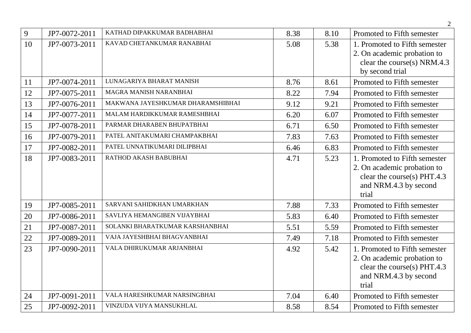|    |               |                                   |      |      | $\overline{2}$                                                                                                                |
|----|---------------|-----------------------------------|------|------|-------------------------------------------------------------------------------------------------------------------------------|
| 9  | JP7-0072-2011 | KATHAD DIPAKKUMAR BADHABHAI       | 8.38 | 8.10 | Promoted to Fifth semester                                                                                                    |
| 10 | JP7-0073-2011 | KAVAD CHETANKUMAR RANABHAI        | 5.08 | 5.38 | 1. Promoted to Fifth semester<br>2. On academic probation to<br>clear the course(s) NRM.4.3<br>by second trial                |
| 11 | JP7-0074-2011 | LUNAGARIYA BHARAT MANISH          | 8.76 | 8.61 | Promoted to Fifth semester                                                                                                    |
| 12 | JP7-0075-2011 | MAGRA MANISH NARANBHAI            | 8.22 | 7.94 | Promoted to Fifth semester                                                                                                    |
| 13 | JP7-0076-2011 | MAKWANA JAYESHKUMAR DHARAMSHIBHAI | 9.12 | 9.21 | Promoted to Fifth semester                                                                                                    |
| 14 | JP7-0077-2011 | MALAM HARDIKKUMAR RAMESHBHAI      | 6.20 | 6.07 | Promoted to Fifth semester                                                                                                    |
| 15 | JP7-0078-2011 | PARMAR DHARABEN BHUPATBHAI        | 6.71 | 6.50 | Promoted to Fifth semester                                                                                                    |
| 16 | JP7-0079-2011 | PATEL ANITAKUMARI CHAMPAKBHAI     | 7.83 | 7.63 | Promoted to Fifth semester                                                                                                    |
| 17 | JP7-0082-2011 | PATEL UNNATIKUMARI DILIPBHAI      | 6.46 | 6.83 | Promoted to Fifth semester                                                                                                    |
| 18 | JP7-0083-2011 | RATHOD AKASH BABUBHAI             | 4.71 | 5.23 | 1. Promoted to Fifth semester<br>2. On academic probation to<br>clear the course(s) PHT.4.3<br>and NRM.4.3 by second<br>trial |
| 19 | JP7-0085-2011 | SARVANI SAHIDKHAN UMARKHAN        | 7.88 | 7.33 | Promoted to Fifth semester                                                                                                    |
| 20 | JP7-0086-2011 | SAVLIYA HEMANGIBEN VIJAYBHAI      | 5.83 | 6.40 | Promoted to Fifth semester                                                                                                    |
| 21 | JP7-0087-2011 | SOLANKI BHARATKUMAR KARSHANBHAI   | 5.51 | 5.59 | Promoted to Fifth semester                                                                                                    |
| 22 | JP7-0089-2011 | VAJA JAYESHBHAI BHAGVANBHAI       | 7.49 | 7.18 | Promoted to Fifth semester                                                                                                    |
| 23 | JP7-0090-2011 | VALA DHIRUKUMAR ARJANBHAI         | 4.92 | 5.42 | 1. Promoted to Fifth semester<br>2. On academic probation to<br>clear the course(s) PHT.4.3<br>and NRM.4.3 by second<br>trial |
| 24 | JP7-0091-2011 | VALA HARESHKUMAR NARSINGBHAI      | 7.04 | 6.40 | Promoted to Fifth semester                                                                                                    |
| 25 | JP7-0092-2011 | VINZUDA VIJYA MANSUKHLAL          | 8.58 | 8.54 | Promoted to Fifth semester                                                                                                    |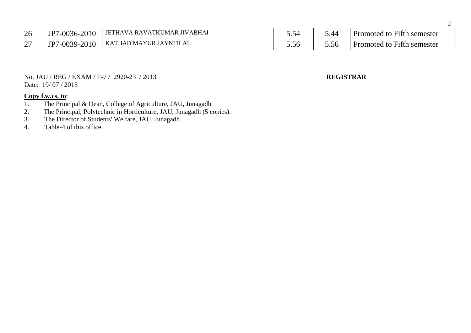| 26     | JP7-0036-2010       | ' JETHAVA RAVATKUMAR JIVABHAI | J.5 <sup>2</sup> | . 40 | Promoted to Fifth semester        |
|--------|---------------------|-------------------------------|------------------|------|-----------------------------------|
| $\sim$ | /-0039-2010<br>JP7. | KATHAD MAYUR JAYNTILAL        | 0.Sb             | J.JA | <b>Promoted to Fifth semester</b> |

No. JAU / REG / EXAM / T-7 / 2920-23 / 2013 **REGISTRAR** Date: 19/07/2013

- 1. The Principal & Dean, College of Agriculture, JAU, Junagadh<br>2. The Principal, Polytechnic in Horticulture, JAU, Junagadh (5 co
- 2. The Principal, Polytechnic in Horticulture, JAU, Junagadh (5 copies).
- 3. The Director of Students' Welfare, JAU, Junagadh.
- 4. Table-4 of this office.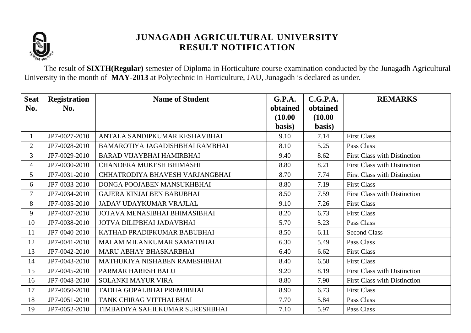

The result of **SIXTH(Regular)** semester of Diploma in Horticulture course examination conducted by the Junagadh Agricultural University in the month of **MAY-2013** at Polytechnic in Horticulture, JAU, Junagadh is declared as under.

| <b>Seat</b><br>No. | <b>Registration</b><br>No. | <b>Name of Student</b>           | G.P.A.<br>obtained | C.G.P.A.<br>obtained | <b>REMARKS</b>                      |
|--------------------|----------------------------|----------------------------------|--------------------|----------------------|-------------------------------------|
|                    |                            |                                  | (10.00)            | (10.00)              |                                     |
|                    |                            |                                  | basis)             | basis)               |                                     |
|                    | JP7-0027-2010              | ANTALA SANDIPKUMAR KESHAVBHAI    | 9.10               | 7.14                 | <b>First Class</b>                  |
| $\overline{2}$     | JP7-0028-2010              | BAMAROTIYA JAGADISHBHAI RAMBHAI  | 8.10               | 5.25                 | Pass Class                          |
| 3                  | JP7-0029-2010              | <b>BARAD VIJAYBHAI HAMIRBHAI</b> | 9.40               | 8.62                 | <b>First Class with Distinction</b> |
| $\overline{4}$     | JP7-0030-2010              | <b>CHANDERA MUKESH BHIMASHI</b>  | 8.80               | 8.21                 | <b>First Class with Distinction</b> |
| $5^{\circ}$        | JP7-0031-2010              | CHHATRODIYA BHAVESH VARJANGBHAI  | 8.70               | 7.74                 | <b>First Class with Distinction</b> |
| 6                  | JP7-0033-2010              | DONGA POOJABEN MANSUKHBHAI       | 8.80               | 7.19                 | <b>First Class</b>                  |
| $\overline{7}$     | JP7-0034-2010              | <b>GAJERA KINJALBEN BABUBHAI</b> | 8.50               | 7.59                 | First Class with Distinction        |
| 8                  | JP7-0035-2010              | JADAV UDAYKUMAR VRAJLAL          | 9.10               | 7.26                 | <b>First Class</b>                  |
| 9                  | JP7-0037-2010              | JOTAVA MENASIBHAI BHIMASIBHAI    | 8.20               | 6.73                 | <b>First Class</b>                  |
| 10                 | JP7-0038-2010              | JOTVA DILIPBHAI JADAVBHAI        | 5.70               | 5.23                 | Pass Class                          |
| 11                 | JP7-0040-2010              | KATHAD PRADIPKUMAR BABUBHAI      | 8.50               | 6.11                 | <b>Second Class</b>                 |
| 12                 | JP7-0041-2010              | MALAM MILANKUMAR SAMATBHAI       | 6.30               | 5.49                 | Pass Class                          |
| 13                 | JP7-0042-2010              | MARU ABHAY BHASKARBHAI           | 6.40               | 6.62                 | <b>First Class</b>                  |
| 14                 | JP7-0043-2010              | MATHUKIYA NISHABEN RAMESHBHAI    | 8.40               | 6.58                 | <b>First Class</b>                  |
| 15                 | JP7-0045-2010              | PARMAR HARESH BALU               | 9.20               | 8.19                 | First Class with Distinction        |
| 16                 | JP7-0048-2010              | <b>SOLANKI MAYUR VIRA</b>        | 8.80               | 7.90                 | <b>First Class with Distinction</b> |
| 17                 | JP7-0050-2010              | TADHA GOPALBHAI PREMJIBHAI       | 8.90               | 6.73                 | <b>First Class</b>                  |
| 18                 | JP7-0051-2010              | TANK CHIRAG VITTHALBHAI          | 7.70               | 5.84                 | Pass Class                          |
| 19                 | JP7-0052-2010              | TIMBADIYA SAHILKUMAR SURESHBHAI  | 7.10               | 5.97                 | Pass Class                          |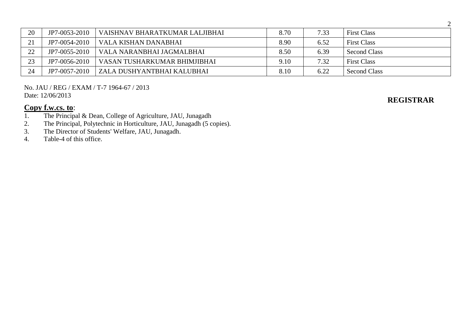| 20              | JP7-0053-2010 | VAISHNAV BHARATKUMAR LALJIBHAI | 8.70 | 7.33 | <b>First Class</b>  |
|-----------------|---------------|--------------------------------|------|------|---------------------|
| $\mathcal{D}$ 1 | JP7-0054-2010 | VALA KISHAN DANABHAI           | 8.90 | 6.52 | <b>First Class</b>  |
| 22              | JP7-0055-2010 | VALA NARANBHAI JAGMALBHAI      | 8.50 | 6.39 | <b>Second Class</b> |
| 23              | JP7-0056-2010 | VASAN TUSHARKUMAR BHIMJIBHAI   | 9.10 | 7.32 | <b>First Class</b>  |
| 24              | JP7-0057-2010 | ZALA DUSHYANTBHAI KALUBHAI     | 8.10 | 6.22 | <b>Second Class</b> |

No. JAU / REG / EXAM / T-7 1964-67 / 2013 Date: 12/06/2013

# **Copy f.w.cs. to:**<br>1. The Principa

- 1. The Principal & Dean, College of Agriculture, JAU, Junagadh
- 2. The Principal, Polytechnic in Horticulture, JAU, Junagadh (5 copies).
- 3. The Director of Students' Welfare, JAU, Junagadh.<br>4. Table-4 of this office.
- Table-4 of this office.

# **REGISTRAR**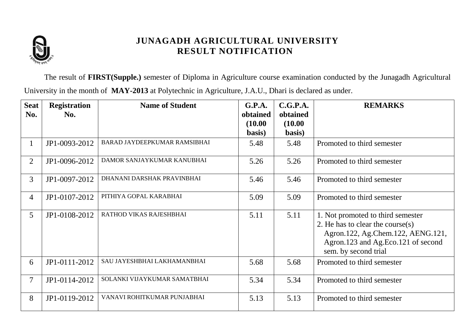

The result of **FIRST(Supple.)** semester of Diploma in Agriculture course examination conducted by the Junagadh Agricultural University in the month of **MAY-2013** at Polytechnic in Agriculture, J.A.U., Dhari is declared as under.

| <b>Seat</b>     | <b>Registration</b> | <b>Name of Student</b>       | G.P.A.   | C.G.P.A. | <b>REMARKS</b>                                                                                                                                                              |
|-----------------|---------------------|------------------------------|----------|----------|-----------------------------------------------------------------------------------------------------------------------------------------------------------------------------|
| No.             | No.                 |                              | obtained | obtained |                                                                                                                                                                             |
|                 |                     |                              | (10.00)  | (10.00)  |                                                                                                                                                                             |
|                 |                     |                              | basis)   | basis)   |                                                                                                                                                                             |
| $\mathbf 1$     | JP1-0093-2012       | BARAD JAYDEEPKUMAR RAMSIBHAI | 5.48     | 5.48     | Promoted to third semester                                                                                                                                                  |
| $\overline{2}$  | JP1-0096-2012       | DAMOR SANJAYKUMAR KANUBHAI   | 5.26     | 5.26     | Promoted to third semester                                                                                                                                                  |
| $\overline{3}$  | JP1-0097-2012       | DHANANI DARSHAK PRAVINBHAI   | 5.46     | 5.46     | Promoted to third semester                                                                                                                                                  |
| $\overline{4}$  | JP1-0107-2012       | PITHIYA GOPAL KARABHAI       | 5.09     | 5.09     | Promoted to third semester                                                                                                                                                  |
| $5\overline{)}$ | JP1-0108-2012       | RATHOD VIKAS RAJESHBHAI      | 5.11     | 5.11     | 1. Not promoted to third semester<br>2. He has to clear the course $(s)$<br>Agron.122, Ag.Chem.122, AENG.121,<br>Agron.123 and Ag.Eco.121 of second<br>sem. by second trial |
| 6               | JP1-0111-2012       | SAU JAYESHBHAI LAKHAMANBHAI  | 5.68     | 5.68     | Promoted to third semester                                                                                                                                                  |
| $\overline{7}$  | JP1-0114-2012       | SOLANKI VIJAYKUMAR SAMATBHAI | 5.34     | 5.34     | Promoted to third semester                                                                                                                                                  |
| 8               | JP1-0119-2012       | VANAVI ROHITKUMAR PUNJABHAI  | 5.13     | 5.13     | Promoted to third semester                                                                                                                                                  |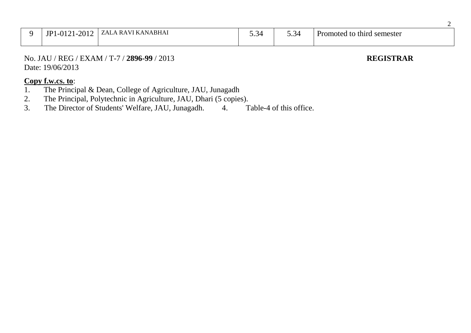| $-1 - 201$ <sup>2</sup><br>JP1<br>$\bigcap$ 1.1 | ZALA RAVI KANABHAI | ∼⊥<br>ັ້ | $\rightarrow$<br>ن ر | Promoted to third semester |
|-------------------------------------------------|--------------------|----------|----------------------|----------------------------|
|                                                 |                    |          |                      |                            |

No. JAU / REG / EXAM / T-7 / **2896-99** / 2013 **REGISTRAR** Date: 19/06/2013

## **Copy f.w.cs. to**:

- 1. The Principal & Dean, College of Agriculture, JAU, Junagadh
- 2. The Principal, Polytechnic in Agriculture, JAU, Dhari (5 copies).<br>3. The Director of Students' Welfare, JAU, Junagadh. 4. T

The Director of Students' Welfare, JAU, Junagadh. 4. Table-4 of this office.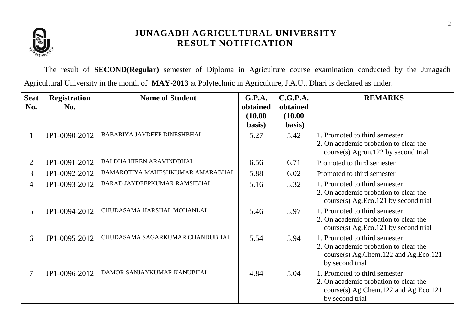

The result of **SECOND(Regular)** semester of Diploma in Agriculture course examination conducted by the Junagadh Agricultural University in the month of **MAY-2013** at Polytechnic in Agriculture, J.A.U., Dhari is declared as under.

| <b>Seat</b>    | <b>Registration</b> | <b>Name of Student</b>             | G.P.A.   | C.G.P.A. | <b>REMARKS</b>                        |
|----------------|---------------------|------------------------------------|----------|----------|---------------------------------------|
| No.            | No.                 |                                    | obtained | obtained |                                       |
|                |                     |                                    | (10.00)  | (10.00)  |                                       |
|                |                     |                                    | basis)   | basis)   |                                       |
| $\mathbf{I}$   | JP1-0090-2012       | <b>BABARIYA JAYDEEP DINESHBHAI</b> | 5.27     | 5.42     | 1. Promoted to third semester         |
|                |                     |                                    |          |          | 2. On academic probation to clear the |
|                |                     |                                    |          |          | $course(s)$ Agron.122 by second trial |
| $\overline{2}$ | JP1-0091-2012       | <b>BALDHA HIREN ARAVINDBHAI</b>    | 6.56     | 6.71     | Promoted to third semester            |
| 3              | JP1-0092-2012       | BAMAROTIYA MAHESHKUMAR AMARABHAI   | 5.88     | 6.02     | Promoted to third semester            |
| $\overline{4}$ | JP1-0093-2012       | BARAD JAYDEEPKUMAR RAMSIBHAI       | 5.16     | 5.32     | 1. Promoted to third semester         |
|                |                     |                                    |          |          | 2. On academic probation to clear the |
|                |                     |                                    |          |          | course(s) Ag.Eco.121 by second trial  |
| 5 <sup>5</sup> | JP1-0094-2012       | CHUDASAMA HARSHAL MOHANLAL         | 5.46     | 5.97     | 1. Promoted to third semester         |
|                |                     |                                    |          |          | 2. On academic probation to clear the |
|                |                     |                                    |          |          | course(s) Ag.Eco.121 by second trial  |
| 6              | JP1-0095-2012       | CHUDASAMA SAGARKUMAR CHANDUBHAI    | 5.54     | 5.94     | 1. Promoted to third semester         |
|                |                     |                                    |          |          | 2. On academic probation to clear the |
|                |                     |                                    |          |          | course(s) Ag.Chem.122 and Ag.Eco.121  |
|                |                     |                                    |          |          | by second trial                       |
| $\tau$         | JP1-0096-2012       | DAMOR SANJAYKUMAR KANUBHAI         | 4.84     | 5.04     | 1. Promoted to third semester         |
|                |                     |                                    |          |          | 2. On academic probation to clear the |
|                |                     |                                    |          |          | course(s) Ag.Chem.122 and Ag.Eco.121  |
|                |                     |                                    |          |          | by second trial                       |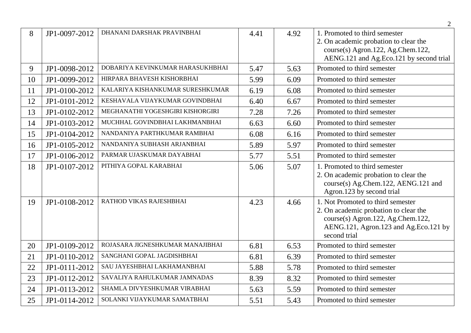|    |               |                                  |      |      | $\overline{2}$                                                                                                                                                           |
|----|---------------|----------------------------------|------|------|--------------------------------------------------------------------------------------------------------------------------------------------------------------------------|
| 8  | JP1-0097-2012 | DHANANI DARSHAK PRAVINBHAI       | 4.41 | 4.92 | 1. Promoted to third semester<br>2. On academic probation to clear the<br>course(s) Agron.122, Ag.Chem.122,<br>AENG.121 and Ag.Eco.121 by second trial                   |
| 9  | JP1-0098-2012 | DOBARIYA KEVINKUMAR HARASUKHBHAI | 5.47 | 5.63 | Promoted to third semester                                                                                                                                               |
| 10 | JP1-0099-2012 | HIRPARA BHAVESH KISHORBHAI       | 5.99 | 6.09 | Promoted to third semester                                                                                                                                               |
| 11 | JP1-0100-2012 | KALARIYA KISHANKUMAR SURESHKUMAR | 6.19 | 6.08 | Promoted to third semester                                                                                                                                               |
| 12 | JP1-0101-2012 | KESHAVALA VIJAYKUMAR GOVINDBHAI  | 6.40 | 6.67 | Promoted to third semester                                                                                                                                               |
| 13 | JP1-0102-2012 | MEGHANATHI YOGESHGIRI KISHORGIRI | 7.28 | 7.26 | Promoted to third semester                                                                                                                                               |
| 14 | JP1-0103-2012 | MUCHHAL GOVINDBHAI LAKHMANBHAI   | 6.63 | 6.60 | Promoted to third semester                                                                                                                                               |
| 15 | JP1-0104-2012 | NANDANIYA PARTHKUMAR RAMBHAI     | 6.08 | 6.16 | Promoted to third semester                                                                                                                                               |
| 16 | JP1-0105-2012 | NANDANIYA SUBHASH ARJANBHAI      | 5.89 | 5.97 | Promoted to third semester                                                                                                                                               |
| 17 | JP1-0106-2012 | PARMAR UJASKUMAR DAYABHAI        | 5.77 | 5.51 | Promoted to third semester                                                                                                                                               |
| 18 | JP1-0107-2012 | PITHIYA GOPAL KARABHAI           | 5.06 | 5.07 | 1. Promoted to third semester<br>2. On academic probation to clear the<br>course(s) Ag.Chem.122, AENG.121 and<br>Agron.123 by second trial                               |
| 19 | JP1-0108-2012 | RATHOD VIKAS RAJESHBHAI          | 4.23 | 4.66 | 1. Not Promoted to third semester<br>2. On academic probation to clear the<br>course(s) Agron.122, Ag.Chem.122,<br>AENG.121, Agron.123 and Ag.Eco.121 by<br>second trial |
| 20 | JP1-0109-2012 | ROJASARA JIGNESHKUMAR MANAJIBHAI | 6.81 | 6.53 | Promoted to third semester                                                                                                                                               |
| 21 | JP1-0110-2012 | SANGHANI GOPAL JAGDISHBHAI       | 6.81 | 6.39 | Promoted to third semester                                                                                                                                               |
| 22 | JP1-0111-2012 | SAU JAYESHBHAI LAKHAMANBHAI      | 5.88 | 5.78 | Promoted to third semester                                                                                                                                               |
| 23 | JP1-0112-2012 | SAVALIYA RAHULKUMAR JAMNADAS     | 8.39 | 8.32 | Promoted to third semester                                                                                                                                               |
| 24 | JP1-0113-2012 | SHAMLA DIVYESHKUMAR VIRABHAI     | 5.63 | 5.59 | Promoted to third semester                                                                                                                                               |
| 25 | JP1-0114-2012 | SOLANKI VIJAYKUMAR SAMATBHAI     | 5.51 | 5.43 | Promoted to third semester                                                                                                                                               |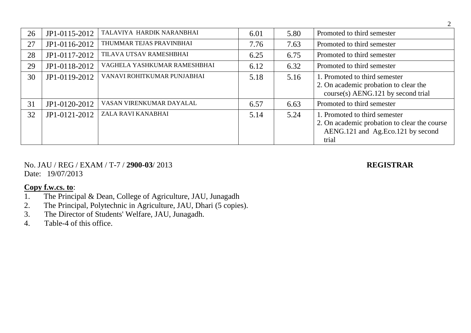| 26 | JP1-0115-2012 | TALAVIYA HARDIK NARANBHAI    | 6.01 | 5.80 | Promoted to third semester                                                                                                  |
|----|---------------|------------------------------|------|------|-----------------------------------------------------------------------------------------------------------------------------|
| 27 | JP1-0116-2012 | THUMMAR TEJAS PRAVINBHAI     | 7.76 | 7.63 | Promoted to third semester                                                                                                  |
| 28 | JP1-0117-2012 | TILAVA UTSAV RAMESHBHAI      | 6.25 | 6.75 | Promoted to third semester                                                                                                  |
| 29 | JP1-0118-2012 | VAGHELA YASHKUMAR RAMESHBHAI | 6.12 | 6.32 | Promoted to third semester                                                                                                  |
| 30 | JP1-0119-2012 | VANAVI ROHITKUMAR PUNJABHAI  | 5.18 | 5.16 | 1. Promoted to third semester<br>2. On academic probation to clear the<br>course(s) AENG.121 by second trial                |
| 31 | JP1-0120-2012 | VASAN VIRENKUMAR DAYALAL     | 6.57 | 6.63 | Promoted to third semester                                                                                                  |
| 32 | JP1-0121-2012 | ZALA RAVI KANABHAI           | 5.14 | 5.24 | 1. Promoted to third semester<br>2. On academic probation to clear the course<br>AENG.121 and Ag.Eco.121 by second<br>trial |

No. JAU / REG / EXAM / T-7 / **2900-03**/ 2013 **REGISTRAR** Date: 19/07/2013

- 1. The Principal & Dean, College of Agriculture, JAU, Junagadh
- 2. The Principal, Polytechnic in Agriculture, JAU, Dhari (5 copies).<br>3. The Director of Students' Welfare, JAU, Junagadh.
- The Director of Students' Welfare, JAU, Junagadh.
- 4. Table-4 of this office.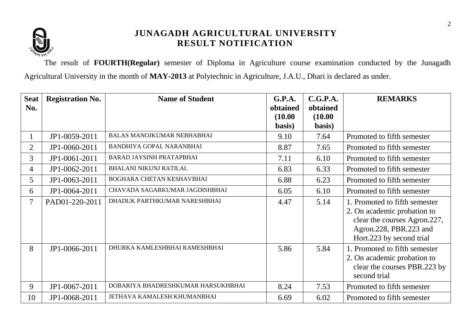

The result of **FOURTH(Regular)** semester of Diploma in Agriculture course examination conducted by the Junagadh Agricultural University in the month of **MAY-2013** at Polytechnic in Agriculture, J.A.U., Dhari is declared as under.

| <b>Seat</b>    | <b>Registration No.</b> | <b>Name of Student</b>             | <b>G.P.A.</b> | C.G.P.A. | <b>REMARKS</b>                                                                                                                                     |
|----------------|-------------------------|------------------------------------|---------------|----------|----------------------------------------------------------------------------------------------------------------------------------------------------|
| No.            |                         |                                    | obtained      | obtained |                                                                                                                                                    |
|                |                         |                                    | (10.00)       | (10.00)  |                                                                                                                                                    |
|                |                         |                                    | basis)        | basis)   |                                                                                                                                                    |
|                | JP1-0059-2011           | <b>BALAS MANOJKUMAR NEBHABHAI</b>  | 9.10          | 7.64     | Promoted to fifth semester                                                                                                                         |
| $\overline{2}$ | JP1-0060-2011           | <b>BANDHIYA GOPAL NARANBHAI</b>    | 8.87          | 7.65     | Promoted to fifth semester                                                                                                                         |
| $\overline{3}$ | JP1-0061-2011           | <b>BARAD JAYSINH PRATAPBHAI</b>    | 7.11          | 6.10     | Promoted to fifth semester                                                                                                                         |
| $\overline{4}$ | JP1-0062-2011           | <b>BHALANI NIKUNJ RATILAL</b>      | 6.83          | 6.33     | Promoted to fifth semester                                                                                                                         |
| 5              | JP1-0063-2011           | BOGHARA CHETAN KESHAVBHAI          | 6.88          | 6.23     | Promoted to fifth semester                                                                                                                         |
| 6              | JP1-0064-2011           | CHAVADA SAGARKUMAR JAGDISHBHAI     | 6.05          | 6.10     | Promoted to fifth semester                                                                                                                         |
| 7              | PAD01-220-2011          | DHADUK PARTHKUMAR NARESHBHAI       | 4.47          | 5.14     | 1. Promoted to fifth semester<br>2. On academic probation to<br>clear the courses Agron.227,<br>Agron.228, PBR.223 and<br>Hort.223 by second trial |
| 8              | JP1-0066-2011           | DHURKA KAMLESHBHAI RAMESHBHAI      | 5.86          | 5.84     | 1. Promoted to fifth semester<br>2. On academic probation to<br>clear the courses PBR.223 by<br>second trial                                       |
| 9              | JP1-0067-2011           | DOBARIYA BHADRESHKUMAR HARSUKHBHAI | 8.24          | 7.53     | Promoted to fifth semester                                                                                                                         |
| 10             | JP1-0068-2011           | JETHAVA KAMALESH KHUMANBHAI        | 6.69          | 6.02     | Promoted to fifth semester                                                                                                                         |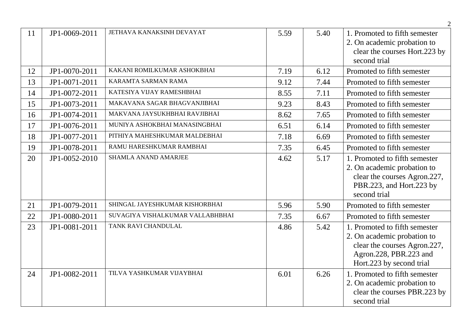|    |               |                                  |      |      | 2                                                                                                                                                  |
|----|---------------|----------------------------------|------|------|----------------------------------------------------------------------------------------------------------------------------------------------------|
| 11 | JP1-0069-2011 | JETHAVA KANAKSINH DEVAYAT        | 5.59 | 5.40 | 1. Promoted to fifth semester<br>2. On academic probation to<br>clear the courses Hort.223 by<br>second trial                                      |
| 12 | JP1-0070-2011 | KAKANI ROMILKUMAR ASHOKBHAI      | 7.19 | 6.12 | Promoted to fifth semester                                                                                                                         |
| 13 | JP1-0071-2011 | KARAMTA SARMAN RAMA              | 9.12 | 7.44 | Promoted to fifth semester                                                                                                                         |
| 14 | JP1-0072-2011 | KATESIYA VIJAY RAMESHBHAI        | 8.55 | 7.11 | Promoted to fifth semester                                                                                                                         |
| 15 | JP1-0073-2011 | MAKAVANA SAGAR BHAGVANJIBHAI     | 9.23 | 8.43 | Promoted to fifth semester                                                                                                                         |
| 16 | JP1-0074-2011 | MAKVANA JAYSUKHBHAI RAVJIBHAI    | 8.62 | 7.65 | Promoted to fifth semester                                                                                                                         |
| 17 | JP1-0076-2011 | MUNIYA ASHOKBHAI MANASINGBHAI    | 6.51 | 6.14 | Promoted to fifth semester                                                                                                                         |
| 18 | JP1-0077-2011 | PITHIYA MAHESHKUMAR MALDEBHAI    | 7.18 | 6.69 | Promoted to fifth semester                                                                                                                         |
| 19 | JP1-0078-2011 | RAMU HARESHKUMAR RAMBHAI         | 7.35 | 6.45 | Promoted to fifth semester                                                                                                                         |
| 20 | JP1-0052-2010 | <b>SHAMLA ANAND AMARJEE</b>      | 4.62 | 5.17 | 1. Promoted to fifth semester<br>2. On academic probation to<br>clear the courses Agron.227,<br>PBR.223, and Hort.223 by<br>second trial           |
| 21 | JP1-0079-2011 | SHINGAL JAYESHKUMAR KISHORBHAI   | 5.96 | 5.90 | Promoted to fifth semester                                                                                                                         |
| 22 | JP1-0080-2011 | SUVAGIYA VISHALKUMAR VALLABHBHAI | 7.35 | 6.67 | Promoted to fifth semester                                                                                                                         |
| 23 | JP1-0081-2011 | TANK RAVI CHANDULAL              | 4.86 | 5.42 | 1. Promoted to fifth semester<br>2. On academic probation to<br>clear the courses Agron.227,<br>Agron.228, PBR.223 and<br>Hort.223 by second trial |
| 24 | JP1-0082-2011 | TILVA YASHKUMAR VIJAYBHAI        | 6.01 | 6.26 | 1. Promoted to fifth semester<br>2. On academic probation to<br>clear the courses PBR.223 by<br>second trial                                       |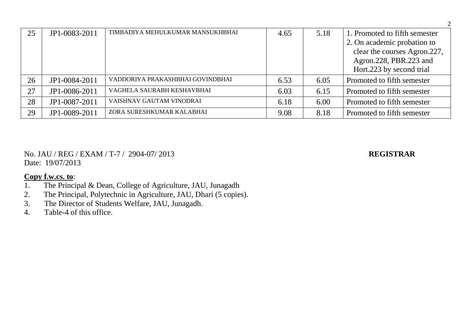| 25 | JP1-0083-2011 | TIMBADIYA MEHULKUMAR MANSUKHBHAI | 4.65 | 5.18 | 1. Promoted to fifth semester                               |
|----|---------------|----------------------------------|------|------|-------------------------------------------------------------|
|    |               |                                  |      |      | 2. On academic probation to<br>clear the courses Agron.227, |
|    |               |                                  |      |      | Agron.228, PBR.223 and                                      |
|    |               |                                  |      |      | Hort.223 by second trial                                    |
| 26 | JP1-0084-2011 | VADDORIYA PRAKASHBHAI GOVINDBHAI | 6.53 | 6.05 | Promoted to fifth semester                                  |
| 27 | JP1-0086-2011 | VAGHELA SAURABH KESHAVBHAI       | 6.03 | 6.15 | Promoted to fifth semester                                  |
| 28 | JP1-0087-2011 | VAISHNAV GAUTAM VINODRAI         | 6.18 | 6.00 | Promoted to fifth semester                                  |
| 29 | JP1-0089-2011 | ZORA SURESHKUMAR KALABHAI        | 9.08 | 8.18 | Promoted to fifth semester                                  |

No. JAU / REG / EXAM / T-7 / 2904-07/ 2013 **REGISTRAR** Date: 19/07/2013

- 1. The Principal & Dean, College of Agriculture, JAU, Junagadh
- 2. The Principal, Polytechnic in Agriculture, JAU, Dhari (5 copies).<br>3. The Director of Students Welfare, JAU, Junagadh.
- The Director of Students Welfare, JAU, Junagadh.
- 4. Table-4 of this office.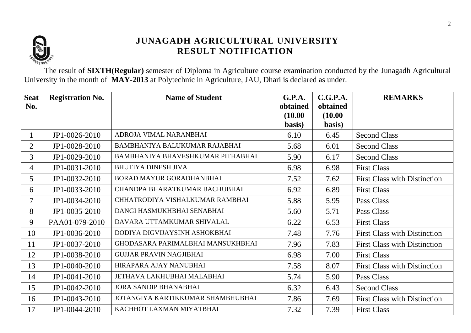

The result of **SIXTH(Regular)** semester of Diploma in Agriculture course examination conducted by the Junagadh Agricultural University in the month of **MAY-2013** at Polytechnic in Agriculture, JAU, Dhari is declared as under.

| <b>Seat</b><br>No. | <b>Registration No.</b> | <b>Name of Student</b>            | G.P.A.<br>obtained<br>(10.00) | C.G.P.A.<br>obtained<br>(10.00) | <b>REMARKS</b>                      |
|--------------------|-------------------------|-----------------------------------|-------------------------------|---------------------------------|-------------------------------------|
|                    |                         |                                   | basis)                        | basis)                          |                                     |
| $\mathbf{1}$       | JP1-0026-2010           | ADROJA VIMAL NARANBHAI            | 6.10                          | 6.45                            | <b>Second Class</b>                 |
| $\overline{2}$     | JP1-0028-2010           | BAMBHANIYA BALUKUMAR RAJABHAI     | 5.68                          | 6.01                            | <b>Second Class</b>                 |
| 3                  | JP1-0029-2010           | BAMBHANIYA BHAVESHKUMAR PITHABHAI | 5.90                          | 6.17                            | <b>Second Class</b>                 |
| 4                  | JP1-0031-2010           | <b>BHUTIYA DINESH JIVA</b>        | 6.98                          | 6.98                            | <b>First Class</b>                  |
| 5                  | JP1-0032-2010           | BORAD MAYUR GORADHANBHAI          | 7.52                          | 7.62                            | <b>First Class with Distinction</b> |
| 6                  | JP1-0033-2010           | CHANDPA BHARATKUMAR BACHUBHAI     | 6.92                          | 6.89                            | <b>First Class</b>                  |
| 7                  | JP1-0034-2010           | CHHATRODIYA VISHALKUMAR RAMBHAI   | 5.88                          | 5.95                            | Pass Class                          |
| 8                  | JP1-0035-2010           | DANGI HASMUKHBHAI SENABHAI        | 5.60                          | 5.71                            | Pass Class                          |
| 9                  | PAA01-079-2010          | DAVARA UTTAMKUMAR SHIVALAL        | 6.22                          | 6.53                            | <b>First Class</b>                  |
| 10                 | JP1-0036-2010           | DODIYA DIGVIJAYSINH ASHOKBHAI     | 7.48                          | 7.76                            | <b>First Class with Distinction</b> |
| 11                 | JP1-0037-2010           | GHODASARA PARIMALBHAI MANSUKHBHAI | 7.96                          | 7.83                            | <b>First Class with Distinction</b> |
| 12                 | JP1-0038-2010           | <b>GUJJAR PRAVIN NAGJIBHAI</b>    | 6.98                          | 7.00                            | <b>First Class</b>                  |
| 13                 | JP1-0040-2010           | HIRAPARA AJAY NANUBHAI            | 7.58                          | 8.07                            | <b>First Class with Distinction</b> |
| 14                 | JP1-0041-2010           | JETHAVA LAKHUBHAI MALABHAI        | 5.74                          | 5.90                            | Pass Class                          |
| 15                 | JP1-0042-2010           | <b>JORA SANDIP BHANABHAI</b>      | 6.32                          | 6.43                            | <b>Second Class</b>                 |
| 16                 | JP1-0043-2010           | JOTANGIYA KARTIKKUMAR SHAMBHUBHAI | 7.86                          | 7.69                            | <b>First Class with Distinction</b> |
| 17                 | JP1-0044-2010           | KACHHOT LAXMAN MIYATBHAI          | 7.32                          | 7.39                            | <b>First Class</b>                  |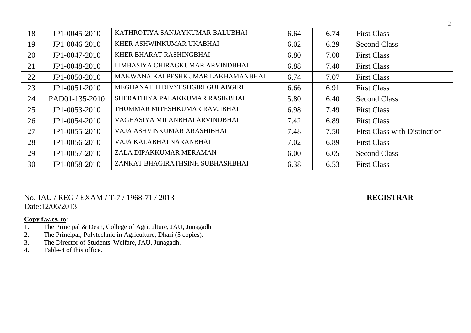| 18 | JP1-0045-2010  | KATHROTIYA SANJAYKUMAR BALUBHAI   | 6.64 | 6.74 | <b>First Class</b>                  |
|----|----------------|-----------------------------------|------|------|-------------------------------------|
| 19 | JP1-0046-2010  | KHER ASHWINKUMAR UKABHAI          | 6.02 | 6.29 | <b>Second Class</b>                 |
| 20 | JP1-0047-2010  | KHER BHARAT RASHINGBHAI           | 6.80 | 7.00 | <b>First Class</b>                  |
| 21 | JP1-0048-2010  | LIMBASIYA CHIRAGKUMAR ARVINDBHAI  | 6.88 | 7.40 | <b>First Class</b>                  |
| 22 | JP1-0050-2010  | MAKWANA KALPESHKUMAR LAKHAMANBHAI | 6.74 | 7.07 | <b>First Class</b>                  |
| 23 | JP1-0051-2010  | MEGHANATHI DIVYESHGIRI GULABGIRI  | 6.66 | 6.91 | <b>First Class</b>                  |
| 24 | PAD01-135-2010 | SHERATHIYA PALAKKUMAR RASIKBHAI   | 5.80 | 6.40 | <b>Second Class</b>                 |
| 25 | JP1-0053-2010  | THUMMAR MITESHKUMAR RAVJIBHAI     | 6.98 | 7.49 | <b>First Class</b>                  |
| 26 | JP1-0054-2010  | VAGHASIYA MILANBHAI ARVINDBHAI    | 7.42 | 6.89 | <b>First Class</b>                  |
| 27 | JP1-0055-2010  | VAJA ASHVINKUMAR ARASHIBHAI       | 7.48 | 7.50 | <b>First Class with Distinction</b> |
| 28 | JP1-0056-2010  | VAJA KALABHAI NARANBHAI           | 7.02 | 6.89 | <b>First Class</b>                  |
| 29 | JP1-0057-2010  | ZALA DIPAKKUMAR MERAMAN           | 6.00 | 6.05 | <b>Second Class</b>                 |
| 30 | JP1-0058-2010  | ZANKAT BHAGIRATHSINH SUBHASHBHAI  | 6.38 | 6.53 | <b>First Class</b>                  |

### No. JAU / REG / EXAM / T-7 / 1968-71 / 2013 **REGISTRAR** Date:12/06/2013

- 1. The Principal & Dean, College of Agriculture, JAU, Junagadh
- 2. The Principal, Polytechnic in Agriculture, Dhari (5 copies).
- 3. The Director of Students' Welfare, JAU, Junagadh.
- 4. Table-4 of this office.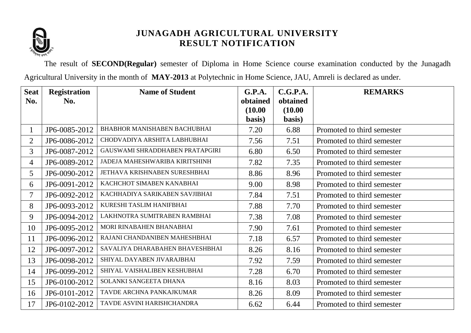

The result of **SECOND(Regular)** semester of Diploma in Home Science course examination conducted by the Junagadh Agricultural University in the month of **MAY-2013** at Polytechnic in Home Science, JAU, Amreli is declared as under.

| <b>Seat</b>              | <b>Registration</b> | <b>Name of Student</b>              | G.P.A.              | C.G.P.A.            | <b>REMARKS</b>             |
|--------------------------|---------------------|-------------------------------------|---------------------|---------------------|----------------------------|
| No.                      | No.                 |                                     | obtained<br>(10.00) | obtained<br>(10.00) |                            |
|                          |                     |                                     | basis)              | basis)              |                            |
| $\mathbf{1}$             | JP6-0085-2012       | <b>BHABHOR MANISHABEN BACHUBHAI</b> | 7.20                | 6.88                | Promoted to third semester |
| $\overline{2}$           | JP6-0086-2012       | CHODVADIYA ARSHITA LABHUBHAI        | 7.56                | 7.51                | Promoted to third semester |
| $\overline{3}$           | JP6-0087-2012       | GAUSWAMI SHRADDHABEN PRATAPGIRI     | 6.80                | 6.50                | Promoted to third semester |
| 4                        | JP6-0089-2012       | JADEJA MAHESHWARIBA KIRITSHINH      | 7.82                | 7.35                | Promoted to third semester |
| 5                        | JP6-0090-2012       | JETHAVA KRISHNABEN SURESHBHAI       | 8.86                | 8.96                | Promoted to third semester |
| 6                        | JP6-0091-2012       | KACHCHOT SIMABEN KANABHAI           | 9.00                | 8.98                | Promoted to third semester |
| $\overline{\mathcal{I}}$ | JP6-0092-2012       | KACHHADIYA SARIKABEN SAVJIBHAI      | 7.84                | 7.51                | Promoted to third semester |
| 8                        | JP6-0093-2012       | KURESHI TASLIM HANIFBHAI            | 7.88                | 7.70                | Promoted to third semester |
| 9                        | JP6-0094-2012       | LAKHNOTRA SUMITRABEN RAMBHAI        | 7.38                | 7.08                | Promoted to third semester |
| 10                       | JP6-0095-2012       | MORI RINABAHEN BHANABHAI            | 7.90                | 7.61                | Promoted to third semester |
| 11                       | JP6-0096-2012       | RAJANI CHANDANIBEN MAHESHBHAI       | 7.18                | 6.57                | Promoted to third semester |
| 12                       | JP6-0097-2012       | SAVALIYA DHARABAHEN BHAVESHBHAI     | 8.26                | 8.16                | Promoted to third semester |
| 13                       | JP6-0098-2012       | SHIYAL DAYABEN JIVARAJBHAI          | 7.92                | 7.59                | Promoted to third semester |
| 14                       | JP6-0099-2012       | SHIYAL VAISHALIBEN KESHUBHAI        | 7.28                | 6.70                | Promoted to third semester |
| 15                       | JP6-0100-2012       | SOLANKI SANGEETA DHANA              | 8.16                | 8.03                | Promoted to third semester |
| 16                       | JP6-0101-2012       | TAVDE ARCHNA PANKAJKUMAR            | 8.26                | 8.09                | Promoted to third semester |
| 17                       | JP6-0102-2012       | TAVDE ASVINI HARISHCHANDRA          | 6.62                | 6.44                | Promoted to third semester |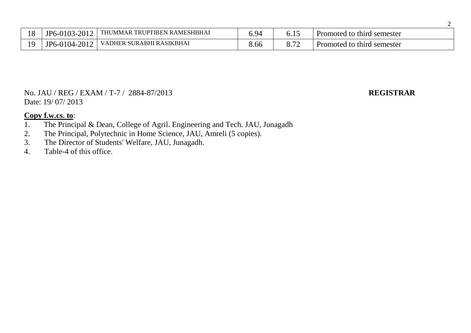| 1 O<br>10 | JP6-0103-2012        | <b>THUMMAR</b><br><b>I RAMESHBHAI</b><br><b>IPTIBEN</b><br>TRU | 5.94        |               | third semester<br><b>Promoted to</b> |
|-----------|----------------------|----------------------------------------------------------------|-------------|---------------|--------------------------------------|
|           | 2012<br>$JP6-0104-2$ | : SURABHI RASIKBHAI<br><b>VADHER</b>                           | - -<br>8.00 | $\sim$ $\sim$ | semester<br>third<br>Promoted to     |

### No. JAU / REG / EXAM / T-7 / 2884-87/2013 **REGISTRAR** Date: 19/ 07/ 2013

- 1. The Principal & Dean, College of Agril. Engineering and Tech. JAU, Junagadh 2. The Principal, Polytechnic in Home Science, JAU, Amreli (5 copies).
- The Principal, Polytechnic in Home Science, JAU, Amreli (5 copies).
- 3. The Director of Students' Welfare, JAU, Junagadh.
- 4. Table-4 of this office.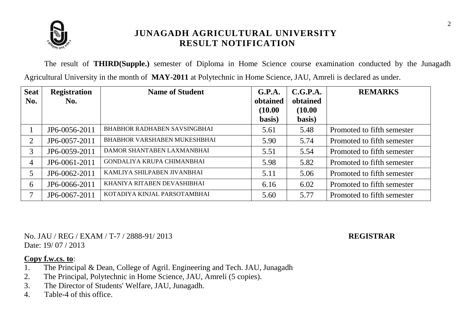

The result of **THIRD(Supple.)** semester of Diploma in Home Science course examination conducted by the Junagadh Agricultural University in the month of **MAY-2011** at Polytechnic in Home Science, JAU, Amreli is declared as under.

| <b>Seat</b><br>No. | <b>Registration</b><br>No. | <b>Name of Student</b>              | G.P.A.<br>obtained | C.G.P.A.<br>obtained | <b>REMARKS</b>             |
|--------------------|----------------------------|-------------------------------------|--------------------|----------------------|----------------------------|
|                    |                            |                                     | (10.00)<br>basis)  | (10.00)<br>basis)    |                            |
|                    | JP6-0056-2011              | <b>BHABHOR RADHABEN SAVSINGBHAI</b> | 5.61               | 5.48                 | Promoted to fifth semester |
| 2                  | JP6-0057-2011              | <b>BHABHOR VARSHABEN MUKESHBHAI</b> | 5.90               | 5.74                 | Promoted to fifth semester |
| 3                  | JP6-0059-2011              | DAMOR SHANTABEN LAXMANBHAI          | 5.51               | 5.54                 | Promoted to fifth semester |
| $\overline{4}$     | JP6-0061-2011              | GONDALIYA KRUPA CHIMANBHAI          | 5.98               | 5.82                 | Promoted to fifth semester |
|                    | JP6-0062-2011              | KAMLIYA SHILPABEN JIVANBHAI         | 5.11               | 5.06                 | Promoted to fifth semester |
| 6                  | JP6-0066-2011              | KHANIYA RITABEN DEVASHIBHAI         | 6.16               | 6.02                 | Promoted to fifth semester |
|                    | JP6-0067-2011              | KOTADIYA KINJAL PARSOTAMBHAI        | 5.60               | 5.77                 | Promoted to fifth semester |

No. JAU / REG / EXAM / T-7 / 2888-91/ 2013 **REGISTRAR** Date: 19/07/2013

- 1. The Principal & Dean, College of Agril. Engineering and Tech. JAU, Junagadh
- 2. The Principal, Polytechnic in Home Science, JAU, Amreli (5 copies).
- 3. The Director of Students' Welfare, JAU, Junagadh.
- 4. Table-4 of this office.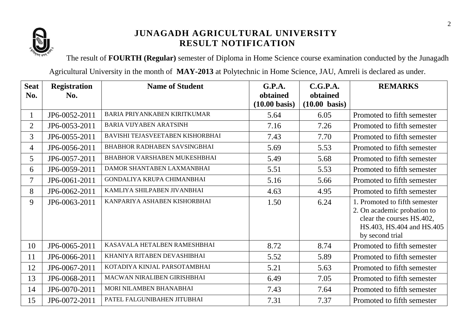

The result of **FOURTH (Regular)** semester of Diploma in Home Science course examination conducted by the Junagadh

Agricultural University in the month of **MAY-2013** at Polytechnic in Home Science, JAU, Amreli is declared as under.

| <b>Seat</b>    | <b>Registration</b> | <b>Name of Student</b>              | <b>G.P.A.</b>                       | C.G.P.A.                            | <b>REMARKS</b>                                                                                                                            |
|----------------|---------------------|-------------------------------------|-------------------------------------|-------------------------------------|-------------------------------------------------------------------------------------------------------------------------------------------|
| No.            | No.                 |                                     | obtained<br>$(10.00 \text{ basis})$ | obtained<br>$(10.00 \text{ basis})$ |                                                                                                                                           |
| 1              | JP6-0052-2011       | <b>BARIA PRIYANKABEN KIRITKUMAR</b> | 5.64                                | 6.05                                | Promoted to fifth semester                                                                                                                |
|                |                     |                                     |                                     |                                     |                                                                                                                                           |
| $\overline{2}$ | JP6-0053-2011       | <b>BARIA VIJYABEN ARATSINH</b>      | 7.16                                | 7.26                                | Promoted to fifth semester                                                                                                                |
| 3              | JP6-0055-2011       | BAVISHI TEJASVEETABEN KISHORBHAI    | 7.43                                | 7.70                                | Promoted to fifth semester                                                                                                                |
| $\overline{4}$ | JP6-0056-2011       | <b>BHABHOR RADHABEN SAVSINGBHAI</b> | 5.69                                | 5.53                                | Promoted to fifth semester                                                                                                                |
| 5              | JP6-0057-2011       | <b>BHABHOR VARSHABEN MUKESHBHAI</b> | 5.49                                | 5.68                                | Promoted to fifth semester                                                                                                                |
| 6              | JP6-0059-2011       | DAMOR SHANTABEN LAXMANBHAI          | 5.51                                | 5.53                                | Promoted to fifth semester                                                                                                                |
| 7              | JP6-0061-2011       | <b>GONDALIYA KRUPA CHIMANBHAI</b>   | 5.16                                | 5.66                                | Promoted to fifth semester                                                                                                                |
| 8              | JP6-0062-2011       | KAMLIYA SHILPABEN JIVANBHAI         | 4.63                                | 4.95                                | Promoted to fifth semester                                                                                                                |
| 9              | JP6-0063-2011       | KANPARIYA ASHABEN KISHORBHAI        | 1.50                                | 6.24                                | 1. Promoted to fifth semester<br>2. On academic probation to<br>clear the courses HS.402,<br>HS.403, HS.404 and HS.405<br>by second trial |
| 10             | JP6-0065-2011       | KASAVALA HETALBEN RAMESHBHAI        | 8.72                                | 8.74                                | Promoted to fifth semester                                                                                                                |
| 11             | JP6-0066-2011       | KHANIYA RITABEN DEVASHIBHAI         | 5.52                                | 5.89                                | Promoted to fifth semester                                                                                                                |
| 12             | JP6-0067-2011       | KOTADIYA KINJAL PARSOTAMBHAI        | 5.21                                | 5.63                                | Promoted to fifth semester                                                                                                                |
| 13             | JP6-0068-2011       | MACWAN NIRALIBEN GIRISHBHAI         | 6.49                                | 7.05                                | Promoted to fifth semester                                                                                                                |
| 14             | JP6-0070-2011       | MORI NILAMBEN BHANABHAI             | 7.43                                | 7.64                                | Promoted to fifth semester                                                                                                                |
| 15             | JP6-0072-2011       | PATEL FALGUNIBAHEN JITUBHAI         | 7.31                                | 7.37                                | Promoted to fifth semester                                                                                                                |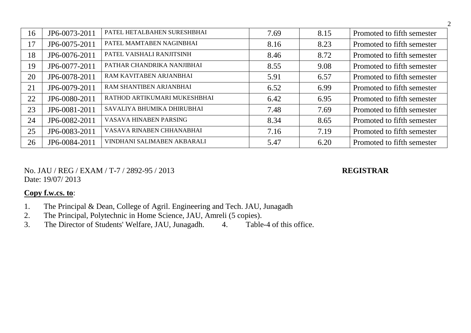| 16 | JP6-0073-2011 | PATEL HETALBAHEN SURESHBHAI  | 7.69 | 8.15 | Promoted to fifth semester |
|----|---------------|------------------------------|------|------|----------------------------|
| 17 | JP6-0075-2011 | PATEL MAMTABEN NAGINBHAI     | 8.16 | 8.23 | Promoted to fifth semester |
| 18 | JP6-0076-2011 | PATEL VAISHALI RANJITSINH    | 8.46 | 8.72 | Promoted to fifth semester |
| 19 | JP6-0077-2011 | PATHAR CHANDRIKA NANJIBHAI   | 8.55 | 9.08 | Promoted to fifth semester |
| 20 | JP6-0078-2011 | RAM KAVITABEN ARJANBHAI      | 5.91 | 6.57 | Promoted to fifth semester |
| 21 | JP6-0079-2011 | RAM SHANTIBEN ARJANBHAI      | 6.52 | 6.99 | Promoted to fifth semester |
| 22 | JP6-0080-2011 | RATHOD ARTIKUMARI MUKESHBHAI | 6.42 | 6.95 | Promoted to fifth semester |
| 23 | JP6-0081-2011 | SAVALIYA BHUMIKA DHIRUBHAI   | 7.48 | 7.69 | Promoted to fifth semester |
| 24 | JP6-0082-2011 | VASAVA HINABEN PARSING       | 8.34 | 8.65 | Promoted to fifth semester |
| 25 | JP6-0083-2011 | VASAVA RINABEN CHHANABHAI    | 7.16 | 7.19 | Promoted to fifth semester |
| 26 | JP6-0084-2011 | VINDHANI SALIMABEN AKBARALI  | 5.47 | 6.20 | Promoted to fifth semester |

No. JAU / REG / EXAM / T-7 / 2892-95 / 2013 **REGISTRAR** Date: 19/07/ 2013

- 1. The Principal & Dean, College of Agril. Engineering and Tech. JAU, Junagadh
- 2. The Principal, Polytechnic in Home Science, JAU, Amreli (5 copies).
- 3. The Director of Students' Welfare, JAU, Junagadh. 4. Table-4 of this office.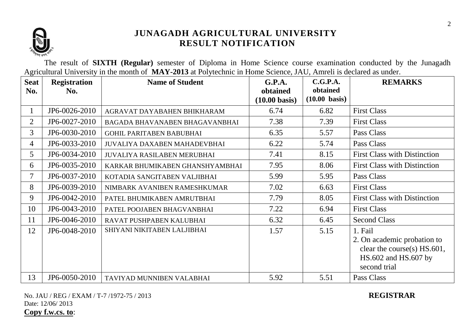

The result of **SIXTH (Regular)** semester of Diploma in Home Science course examination conducted by the Junagadh Agricultural University in the month of **MAY-2013** at Polytechnic in Home Science, JAU, Amreli is declared as under.

| <b>Seat</b><br>No. | <b>Registration</b><br>No. | <b>Name of Student</b>              | G.P.A.<br>obtained      | C.G.P.A.<br>obtained    | <b>REMARKS</b>                                                                                                   |
|--------------------|----------------------------|-------------------------------------|-------------------------|-------------------------|------------------------------------------------------------------------------------------------------------------|
|                    |                            |                                     | $(10.00 \text{ basis})$ | $(10.00 \text{ basis})$ |                                                                                                                  |
|                    | JP6-0026-2010              | AGRAVAT DAYABAHEN BHIKHARAM         | 6.74                    | 6.82                    | <b>First Class</b>                                                                                               |
| $\overline{2}$     | JP6-0027-2010              | BAGADA BHAVANABEN BHAGAVANBHAI      | 7.38                    | 7.39                    | <b>First Class</b>                                                                                               |
| $\overline{3}$     | JP6-0030-2010              | <b>GOHIL PARITABEN BABUBHAI</b>     | 6.35                    | 5.57                    | Pass Class                                                                                                       |
| 4                  | JP6-0033-2010              | <b>JUVALIYA DAXABEN MAHADEVBHAI</b> | 6.22                    | 5.74                    | Pass Class                                                                                                       |
| 5                  | JP6-0034-2010              | <b>JUVALIYA RASILABEN MERUBHAI</b>  | 7.41                    | 8.15                    | <b>First Class with Distinction</b>                                                                              |
| 6                  | JP6-0035-2010              | KARKAR BHUMIKABEN GHANSHYAMBHAI     | 7.95                    | 8.06                    | <b>First Class with Distinction</b>                                                                              |
| $\tau$             | JP6-0037-2010              | KOTADIA SANGITABEN VALJIBHAI        | 5.99                    | 5.95                    | Pass Class                                                                                                       |
| 8                  | JP6-0039-2010              | NIMBARK AVANIBEN RAMESHKUMAR        | 7.02                    | 6.63                    | <b>First Class</b>                                                                                               |
| 9                  | JP6-0042-2010              | PATEL BHUMIKABEN AMRUTBHAI          | 7.79                    | 8.05                    | <b>First Class with Distinction</b>                                                                              |
| 10                 | JP6-0043-2010              | PATEL POOJABEN BHAGVANBHAI          | 7.22                    | 6.94                    | <b>First Class</b>                                                                                               |
| 11                 | JP6-0046-2010              | RAVAT PUSHPABEN KALUBHAI            | 6.32                    | 6.45                    | <b>Second Class</b>                                                                                              |
| 12                 | JP6-0048-2010              | SHIYANI NIKITABEN LALJIBHAI         | 1.57                    | 5.15                    | 1. Fail<br>2. On academic probation to<br>clear the course(s) $HS.601$ ,<br>HS.602 and HS.607 by<br>second trial |
| 13                 | JP6-0050-2010              | TAVIYAD MUNNIBEN VALABHAI           | 5.92                    | 5.51                    | Pass Class                                                                                                       |